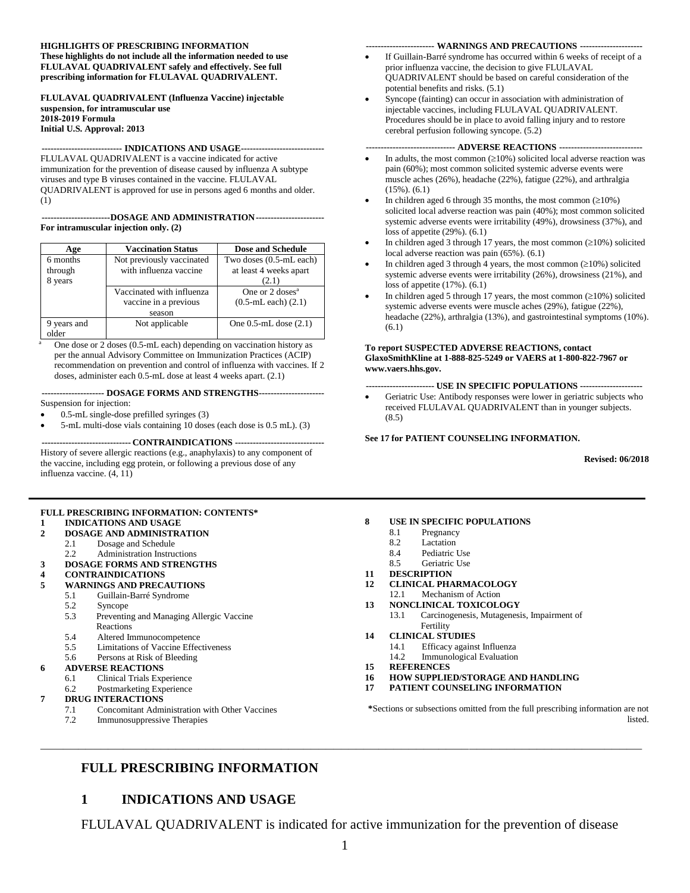#### **HIGHLIGHTS OF PRESCRIBING INFORMATION These highlights do not include all the information needed to use FLULAVAL QUADRIVALENT safely and effectively. See full prescribing information for FLULAVAL QUADRIVALENT.**

#### **FLULAVAL QUADRIVALENT (Influenza Vaccine) injectable suspension, for intramuscular use 2018-2019 Formula Initial U.S. Approval: 2013**

#### **--------------------------- INDICATIONS AND USAGE----------------------------**

FLULAVAL QUADRIVALENT is a vaccine indicated for active immunization for the prevention of disease caused by influenza A subtype viruses and type B viruses contained in the vaccine. FLULAVAL QUADRIVALENT is approved for use in persons aged 6 months and older. (1)

#### **-----------------------DOSAGE AND ADMINISTRATION----------------------- For intramuscular injection only. (2)**

| Age         | <b>Vaccination Status</b> | <b>Dose and Schedule</b>   |
|-------------|---------------------------|----------------------------|
| 6 months    | Not previously vaccinated | Two doses (0.5-mL each)    |
| through     | with influenza vaccine    | at least 4 weeks apart     |
| 8 years     |                           | (2.1)                      |
|             | Vaccinated with influenza | One or $2 \text{ doses}^a$ |
|             | vaccine in a previous     | $(0.5-mL$ each $)(2.1)$    |
|             | season                    |                            |
| 9 years and | Not applicable            | One $0.5$ -mL dose $(2.1)$ |
| əlder       |                           |                            |

One dose or 2 doses (0.5-mL each) depending on vaccination history as per the annual Advisory Committee on Immunization Practices (ACIP) recommendation on prevention and control of influenza with vaccines. If 2 doses, administer each 0.5-mL dose at least 4 weeks apart. (2.1)

#### **--------------------- DOSAGE FORMS AND STRENGTHS----------------------**

Suspension for injection:

- 0.5-mL single-dose prefilled syringes (3)
- 5-mL multi-dose vials containing 10 doses (each dose is 0.5 mL). (3)

**------------------------------ CONTRAINDICATIONS ------------------------------** History of severe allergic reactions (e.g., anaphylaxis) to any component of the vaccine, including egg protein, or following a previous dose of any influenza vaccine. (4, 11)

#### **FULL PRESCRIBING INFORMATION: CONTENTS\***

## **1 [INDICATIONS AND USAGE](#page-0-0)**

- **2 [DOSAGE AND ADMINISTRATION](#page-1-0)**
	- 2.1 [Dosage and Schedule](#page-1-1)
- 2.2 [Administration Instructions](#page-1-2)
- **3 [DOSAGE FORMS AND STRENGTHS](#page-2-0)**

#### **4 [CONTRAINDICATIONS](#page-2-1)**

- **5 [WARNINGS AND PRECAUTIONS](#page-2-2)**
	- 5.1 [Guillain-Barré Syndrome](#page-2-3)
	- 5.2 [Syncope](#page-2-4)
	- 5.3 [Preventing and Managing Allergic Vaccine](#page-2-5)  [Reactions](#page-2-5)
	- 5.4 [Altered Immunocompetence](#page-2-6)
	- 5.5 [Limitations of Vaccine Effectiveness](#page-2-7)
	- 5.6 [Persons at Risk of Bleeding](#page-2-8)

#### **6 [ADVERSE REACTIONS](#page-3-0)**

- 6.1 [Clinical Trials Experience](#page-3-1)
- 6.2 [Postmarketing Experience](#page-10-0)

#### **7 [DRUG INTERACTIONS](#page-11-0)**

- 7.1 [Concomitant Administration with Other Vaccines](#page-11-1)
- 7.2 [Immunosuppressive Therapies](#page-11-2)

#### **----------------------- WARNINGS AND PRECAUTIONS ---------------------**

- If Guillain-Barré syndrome has occurred within 6 weeks of receipt of a prior influenza vaccine, the decision to give FLULAVAL QUADRIVALENT should be based on careful consideration of the potential benefits and risks. (5.1)
- Syncope (fainting) can occur in association with administration of injectable vaccines, including FLULAVAL QUADRIVALENT. Procedures should be in place to avoid falling injury and to restore cerebral perfusion following syncope. (5.2)

#### **------------------------------ ADVERSE REACTIONS ----------------------------**

- In adults, the most common  $(\geq 10\%)$  solicited local adverse reaction was pain (60%); most common solicited systemic adverse events were muscle aches (26%), headache (22%), fatigue (22%), and arthralgia (15%). (6.1)
- In children aged 6 through 35 months, the most common  $(210%)$ solicited local adverse reaction was pain (40%); most common solicited systemic adverse events were irritability (49%), drowsiness (37%), and loss of appetite (29%). (6.1)
- In children aged 3 through 17 years, the most common  $(210%)$  solicited local adverse reaction was pain (65%). (6.1)
- In children aged 3 through 4 years, the most common  $(210%)$  solicited systemic adverse events were irritability (26%), drowsiness (21%), and loss of appetite (17%). (6.1)
- In children aged 5 through 17 years, the most common  $(210%)$  solicited systemic adverse events were muscle aches (29%), fatigue (22%), headache (22%), arthralgia (13%), and gastrointestinal symptoms (10%). (6.1)

#### **To report SUSPECTED ADVERSE REACTIONS, contact GlaxoSmithKline at 1-888-825-5249 or VAERS at 1-800-822-7967 or www.vaers.hhs.gov.**

**----------------------- USE IN SPECIFIC POPULATIONS ---------------------**

Geriatric Use: Antibody responses were lower in geriatric subjects who received FLULAVAL QUADRIVALENT than in younger subjects. (8.5)

#### **See 17 for PATIENT COUNSELING INFORMATION.**

**Revised: 06/2018**

#### **8 [USE IN SPECIFIC POPULATIONS](#page-11-3)**

- 8.1 [Pregnancy](#page-11-4)
- 8.2 [Lactation](#page-12-0)
- 8.4 [Pediatric Use](#page-12-1)
- 8.5 [Geriatric Use](#page-12-2)
- **11 [DESCRIPTION](#page-13-0)**
- **12 [CLINICAL PHARMACOLOGY](#page-13-1)**
- 12.1 [Mechanism of Action](#page-13-2)
- **13 [NONCLINICAL TOXICOLOGY](#page-14-0)**
	- 13.1 [Carcinogenesis, Mutagenesis, Impairment of](#page-14-1)  [Fertility](#page-14-1)
- **14 [CLINICAL STUDIES](#page-14-2)**
	- 14.1 [Efficacy against Influenza](#page-14-3)
	- 14.2 [Immunological Evaluation](#page-17-0)
- **15 [REFERENCES](#page-22-0)**
- **16 [HOW SUPPLIED/STORAGE](#page-22-1) AND HANDLING**
- **17 [PATIENT COUNSELING INFORMATION](#page-22-2)**

**\***Sections or subsections omitted from the full prescribing information are not listed.

#### <span id="page-0-0"></span>**FULL PRESCRIBING INFORMATION**

#### **1 INDICATIONS AND USAGE**

FLULAVAL QUADRIVALENT is indicated for active immunization for the prevention of disease

**\_\_\_\_\_\_\_\_\_\_\_\_\_\_\_\_\_\_\_\_\_\_\_\_\_\_\_\_\_\_\_\_\_\_\_\_\_\_\_\_\_\_\_\_\_\_\_\_\_\_\_\_\_\_\_\_\_\_\_\_\_\_\_\_\_\_\_\_\_\_\_\_\_\_\_\_\_\_\_\_**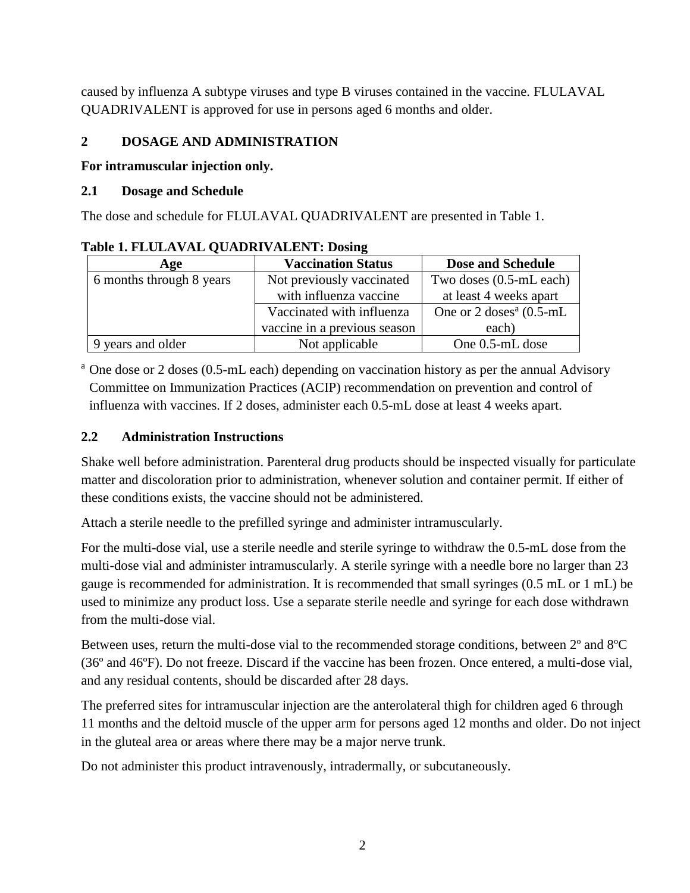caused by influenza A subtype viruses and type B viruses contained in the vaccine. FLULAVAL QUADRIVALENT is approved for use in persons aged 6 months and older.

#### <span id="page-1-0"></span>**2 DOSAGE AND ADMINISTRATION**

#### **For intramuscular injection only.**

#### <span id="page-1-1"></span>**2.1 Dosage and Schedule**

The dose and schedule for FLULAVAL QUADRIVALENT are presented in Table 1.

| Table 1. I DOMA (THE QUILDIN (THEM (T. DOSING |                              |                                     |  |  |  |  |
|-----------------------------------------------|------------------------------|-------------------------------------|--|--|--|--|
| Age                                           | <b>Vaccination Status</b>    | <b>Dose and Schedule</b>            |  |  |  |  |
| 6 months through 8 years                      | Not previously vaccinated    | Two doses (0.5-mL each)             |  |  |  |  |
|                                               | with influenza vaccine       | at least 4 weeks apart              |  |  |  |  |
|                                               | Vaccinated with influenza    | One or $2 \text{ doses}^a$ (0.5-mL) |  |  |  |  |
|                                               | vaccine in a previous season | each)                               |  |  |  |  |
| 9 years and older                             | Not applicable               | One 0.5-mL dose                     |  |  |  |  |

#### **Table 1. FLULAVAL QUADRIVALENT: Dosing**

<sup>a</sup> One dose or 2 doses (0.5-mL each) depending on vaccination history as per the annual Advisory Committee on Immunization Practices (ACIP) recommendation on prevention and control of influenza with vaccines. If 2 doses, administer each 0.5-mL dose at least 4 weeks apart.

#### <span id="page-1-2"></span>**2.2 Administration Instructions**

Shake well before administration. Parenteral drug products should be inspected visually for particulate matter and discoloration prior to administration, whenever solution and container permit. If either of these conditions exists, the vaccine should not be administered.

Attach a sterile needle to the prefilled syringe and administer intramuscularly.

For the multi-dose vial, use a sterile needle and sterile syringe to withdraw the 0.5-mL dose from the multi-dose vial and administer intramuscularly. A sterile syringe with a needle bore no larger than 23 gauge is recommended for administration. It is recommended that small syringes (0.5 mL or 1 mL) be used to minimize any product loss. Use a separate sterile needle and syringe for each dose withdrawn from the multi-dose vial.

Between uses, return the multi-dose vial to the recommended storage conditions, between 2º and 8ºC (36º and 46ºF). Do not freeze. Discard if the vaccine has been frozen. Once entered, a multi-dose vial, and any residual contents, should be discarded after 28 days.

The preferred sites for intramuscular injection are the anterolateral thigh for children aged 6 through 11 months and the deltoid muscle of the upper arm for persons aged 12 months and older. Do not inject in the gluteal area or areas where there may be a major nerve trunk.

Do not administer this product intravenously, intradermally, or subcutaneously.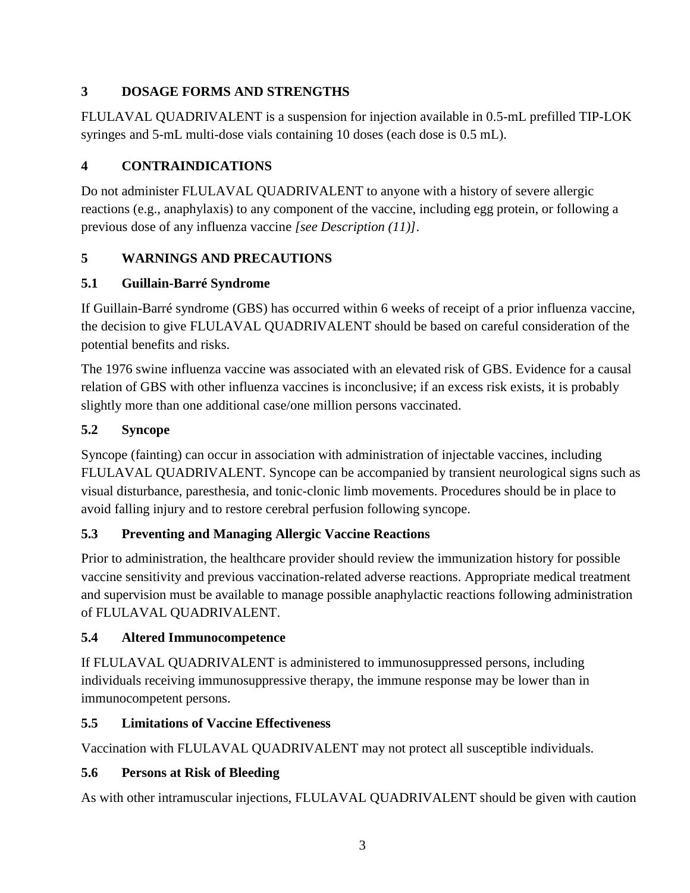## <span id="page-2-0"></span>**3 DOSAGE FORMS AND STRENGTHS**

FLULAVAL QUADRIVALENT is a suspension for injection available in 0.5-mL prefilled TIP-LOK syringes and 5-mL multi-dose vials containing 10 doses (each dose is 0.5 mL).

# <span id="page-2-1"></span>**4 CONTRAINDICATIONS**

Do not administer FLULAVAL QUADRIVALENT to anyone with a history of severe allergic reactions (e.g., anaphylaxis) to any component of the vaccine, including egg protein, or following a previous dose of any influenza vaccine *[see Description (11)]*.

# <span id="page-2-2"></span>**5 WARNINGS AND PRECAUTIONS**

## <span id="page-2-3"></span>**5.1 Guillain-Barré Syndrome**

If Guillain-Barré syndrome (GBS) has occurred within 6 weeks of receipt of a prior influenza vaccine, the decision to give FLULAVAL QUADRIVALENT should be based on careful consideration of the potential benefits and risks.

The 1976 swine influenza vaccine was associated with an elevated risk of GBS. Evidence for a causal relation of GBS with other influenza vaccines is inconclusive; if an excess risk exists, it is probably slightly more than one additional case/one million persons vaccinated.

## <span id="page-2-4"></span>**5.2 Syncope**

Syncope (fainting) can occur in association with administration of injectable vaccines, including FLULAVAL QUADRIVALENT. Syncope can be accompanied by transient neurological signs such as visual disturbance, paresthesia, and tonic-clonic limb movements. Procedures should be in place to avoid falling injury and to restore cerebral perfusion following syncope.

## <span id="page-2-5"></span>**5.3 Preventing and Managing Allergic Vaccine Reactions**

Prior to administration, the healthcare provider should review the immunization history for possible vaccine sensitivity and previous vaccination-related adverse reactions. Appropriate medical treatment and supervision must be available to manage possible anaphylactic reactions following administration of FLULAVAL QUADRIVALENT.

## <span id="page-2-6"></span>**5.4 Altered Immunocompetence**

If FLULAVAL QUADRIVALENT is administered to immunosuppressed persons, including individuals receiving immunosuppressive therapy, the immune response may be lower than in immunocompetent persons.

## <span id="page-2-7"></span>**5.5 Limitations of Vaccine Effectiveness**

Vaccination with FLULAVAL QUADRIVALENT may not protect all susceptible individuals.

# <span id="page-2-8"></span>**5.6 Persons at Risk of Bleeding**

As with other intramuscular injections, FLULAVAL QUADRIVALENT should be given with caution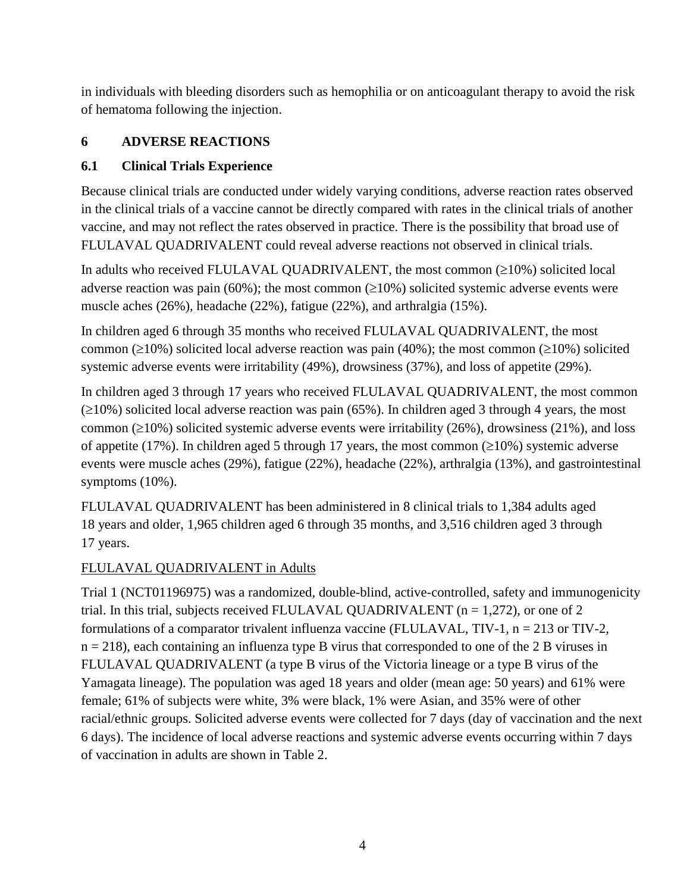in individuals with bleeding disorders such as hemophilia or on anticoagulant therapy to avoid the risk of hematoma following the injection.

#### <span id="page-3-0"></span>**6 ADVERSE REACTIONS**

#### <span id="page-3-1"></span>**6.1 Clinical Trials Experience**

Because clinical trials are conducted under widely varying conditions, adverse reaction rates observed in the clinical trials of a vaccine cannot be directly compared with rates in the clinical trials of another vaccine, and may not reflect the rates observed in practice. There is the possibility that broad use of FLULAVAL QUADRIVALENT could reveal adverse reactions not observed in clinical trials.

In adults who received FLULAVAL QUADRIVALENT, the most common  $(\geq 10\%)$  solicited local adverse reaction was pain (60%); the most common ( $\geq$ 10%) solicited systemic adverse events were muscle aches (26%), headache (22%), fatigue (22%), and arthralgia (15%).

In children aged 6 through 35 months who received FLULAVAL QUADRIVALENT, the most common ( $\geq$ 10%) solicited local adverse reaction was pain (40%); the most common ( $\geq$ 10%) solicited systemic adverse events were irritability (49%), drowsiness (37%), and loss of appetite (29%).

In children aged 3 through 17 years who received FLULAVAL QUADRIVALENT, the most common  $(210%)$  solicited local adverse reaction was pain (65%). In children aged 3 through 4 years, the most common ( $\geq$ 10%) solicited systemic adverse events were irritability (26%), drowsiness (21%), and loss of appetite (17%). In children aged 5 through 17 years, the most common  $(\geq 10\%)$  systemic adverse events were muscle aches (29%), fatigue (22%), headache (22%), arthralgia (13%), and gastrointestinal symptoms (10%).

FLULAVAL QUADRIVALENT has been administered in 8 clinical trials to 1,384 adults aged 18 years and older, 1,965 children aged 6 through 35 months, and 3,516 children aged 3 through 17 years.

#### FLULAVAL QUADRIVALENT in Adults

Trial 1 (NCT01196975) was a randomized, double-blind, active-controlled, safety and immunogenicity trial. In this trial, subjects received FLULAVAL QUADRIVALENT ( $n = 1,272$ ), or one of 2 formulations of a comparator trivalent influenza vaccine (FLULAVAL, TIV-1,  $n = 213$  or TIV-2, n = 218), each containing an influenza type B virus that corresponded to one of the 2 B viruses in FLULAVAL QUADRIVALENT (a type B virus of the Victoria lineage or a type B virus of the Yamagata lineage). The population was aged 18 years and older (mean age: 50 years) and 61% were female; 61% of subjects were white, 3% were black, 1% were Asian, and 35% were of other racial/ethnic groups. Solicited adverse events were collected for 7 days (day of vaccination and the next 6 days). The incidence of local adverse reactions and systemic adverse events occurring within 7 days of vaccination in adults are shown in Table 2.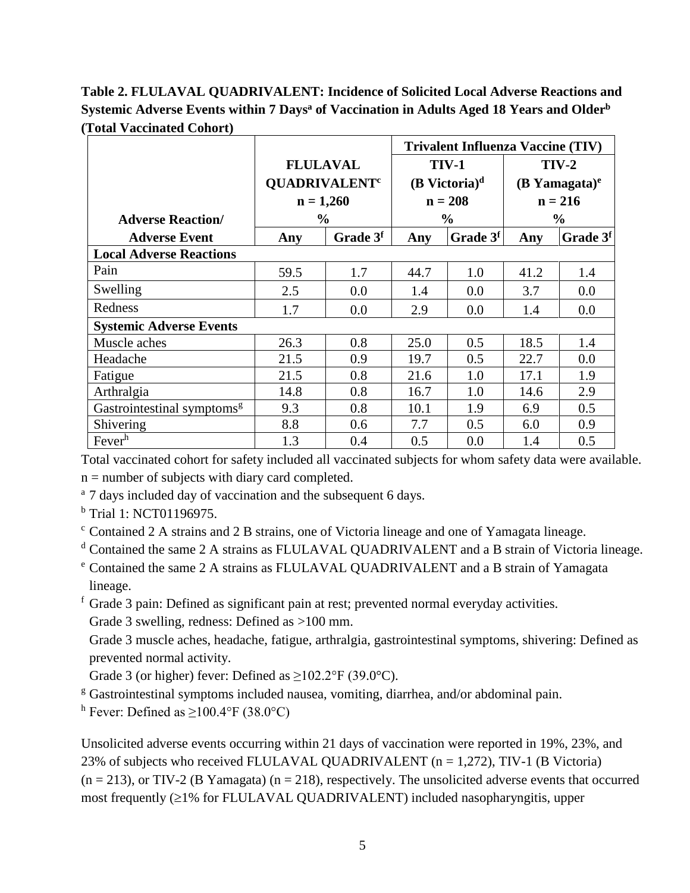**Table 2. FLULAVAL QUADRIVALENT: Incidence of Solicited Local Adverse Reactions and Systemic Adverse Events within 7 Days<sup>a</sup> of Vaccination in Adults Aged 18 Years and Older<sup>b</sup> (Total Vaccinated Cohort)**

|                                        |                                 |                      |              |                             | <b>Trivalent Influenza Vaccine (TIV)</b> |                      |  |
|----------------------------------------|---------------------------------|----------------------|--------------|-----------------------------|------------------------------------------|----------------------|--|
|                                        | <b>FLULAVAL</b>                 |                      | <b>TIV-1</b> |                             | $TIV-2$                                  |                      |  |
|                                        | <b>QUADRIVALENT<sup>c</sup></b> |                      |              | $(B$ Victoria) <sup>d</sup> | $(B$ Yamagata) <sup>e</sup>              |                      |  |
|                                        | $n = 1,260$                     |                      | $n = 208$    |                             | $n = 216$                                |                      |  |
| <b>Adverse Reaction/</b>               | $\frac{6}{9}$                   |                      |              | $\frac{0}{0}$               |                                          | $\frac{0}{0}$        |  |
| <b>Adverse Event</b>                   | Any                             | Grade 3 <sup>f</sup> | Any          | Grade 3 <sup>f</sup>        | Any                                      | Grade 3 <sup>f</sup> |  |
| <b>Local Adverse Reactions</b>         |                                 |                      |              |                             |                                          |                      |  |
| Pain                                   | 59.5                            | 1.7                  | 44.7         | 1.0                         | 41.2                                     | 1.4                  |  |
| Swelling                               | 2.5                             | 0.0                  | 1.4          | 0.0                         | 3.7                                      | 0.0                  |  |
| Redness                                | 1.7                             | 0.0                  | 2.9          | 0.0                         | 1.4                                      | 0.0                  |  |
| <b>Systemic Adverse Events</b>         |                                 |                      |              |                             |                                          |                      |  |
| Muscle aches                           | 26.3                            | 0.8                  | 25.0         | 0.5                         | 18.5                                     | 1.4                  |  |
| Headache                               | 21.5                            | 0.9                  | 19.7         | 0.5                         | 22.7                                     | 0.0                  |  |
| Fatigue                                | 21.5                            | 0.8                  | 21.6         | 1.0                         | 17.1                                     | 1.9                  |  |
| Arthralgia                             | 14.8                            | 0.8                  | 16.7         | 1.0                         | 14.6                                     | 2.9                  |  |
| Gastrointestinal symptoms <sup>g</sup> | 9.3                             | 0.8                  | 10.1         | 1.9                         | 6.9                                      | 0.5                  |  |
| Shivering                              | 8.8                             | 0.6                  | 7.7          | 0.5                         | 6.0                                      | 0.9                  |  |
| Fever <sup>h</sup>                     | 1.3                             | 0.4                  | 0.5          | 0.0                         | 1.4                                      | 0.5                  |  |

Total vaccinated cohort for safety included all vaccinated subjects for whom safety data were available.  $n =$  number of subjects with diary card completed.

<sup>a</sup> 7 days included day of vaccination and the subsequent 6 days.

<sup>b</sup> Trial 1: NCT01196975.

<sup>c</sup> Contained 2 A strains and 2 B strains, one of Victoria lineage and one of Yamagata lineage.

<sup>d</sup> Contained the same 2 A strains as FLULAVAL QUADRIVALENT and a B strain of Victoria lineage.

- <sup>e</sup> Contained the same 2 A strains as FLULAVAL QUADRIVALENT and a B strain of Yamagata lineage.
- $f$  Grade 3 pain: Defined as significant pain at rest; prevented normal everyday activities.

Grade 3 swelling, redness: Defined as >100 mm.

Grade 3 muscle aches, headache, fatigue, arthralgia, gastrointestinal symptoms, shivering: Defined as prevented normal activity.

Grade 3 (or higher) fever: Defined as  $\geq 102.2^{\circ}$  F (39.0°C).

<sup>g</sup> Gastrointestinal symptoms included nausea, vomiting, diarrhea, and/or abdominal pain.

h Fever: Defined as  $\geq$ 100.4°F (38.0°C)

Unsolicited adverse events occurring within 21 days of vaccination were reported in 19%, 23%, and 23% of subjects who received FLULAVAL QUADRIVALENT ( $n = 1,272$ ), TIV-1 (B Victoria)  $(n = 213)$ , or TIV-2 (B Yamagata)  $(n = 218)$ , respectively. The unsolicited adverse events that occurred most frequently  $(\geq 1\%$  for FLULAVAL QUADRIVALENT) included nasopharyngitis, upper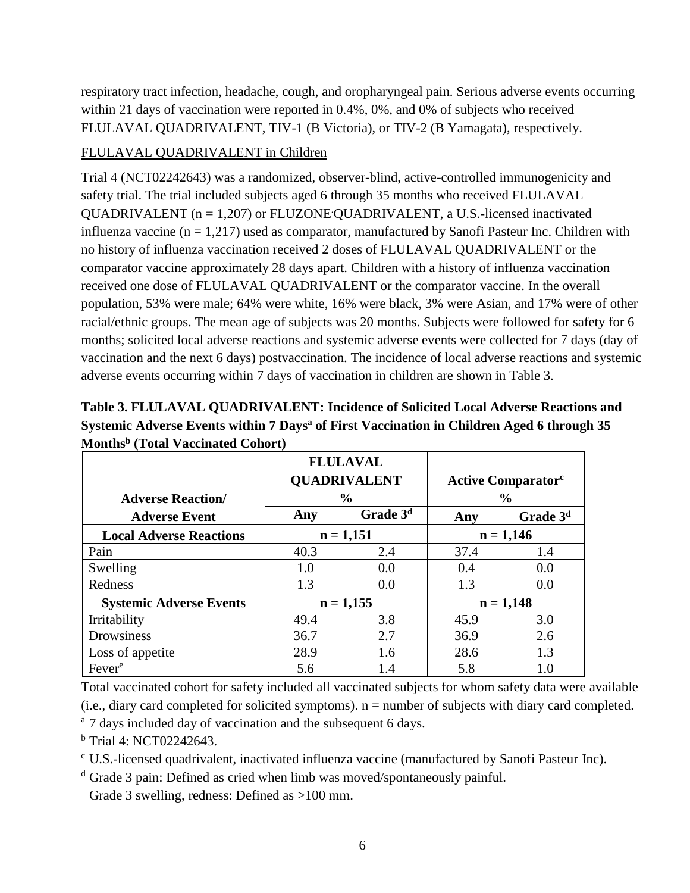respiratory tract infection, headache, cough, and oropharyngeal pain. Serious adverse events occurring within 21 days of vaccination were reported in 0.4%, 0%, and 0% of subjects who received FLULAVAL QUADRIVALENT, TIV-1 (B Victoria), or TIV-2 (B Yamagata), respectively.

#### FLULAVAL QUADRIVALENT in Children

Trial 4 (NCT02242643) was a randomized, observer-blind, active-controlled immunogenicity and safety trial. The trial included subjects aged 6 through 35 months who received FLULAVAL QUADRIVALENT ( $n = 1,207$ ) or FLUZONE QUADRIVALENT, a U.S.-licensed inactivated influenza vaccine  $(n = 1,217)$  used as comparator, manufactured by Sanofi Pasteur Inc. Children with no history of influenza vaccination received 2 doses of FLULAVAL QUADRIVALENT or the comparator vaccine approximately 28 days apart. Children with a history of influenza vaccination received one dose of FLULAVAL QUADRIVALENT or the comparator vaccine. In the overall population, 53% were male; 64% were white, 16% were black, 3% were Asian, and 17% were of other racial/ethnic groups. The mean age of subjects was 20 months. Subjects were followed for safety for 6 months; solicited local adverse reactions and systemic adverse events were collected for 7 days (day of vaccination and the next 6 days) postvaccination. The incidence of local adverse reactions and systemic adverse events occurring within 7 days of vaccination in children are shown in Table 3.

| MOIIUIS (TOtal Vaccinated Conort) |                                                         |             |                                                        |                      |  |             |  |
|-----------------------------------|---------------------------------------------------------|-------------|--------------------------------------------------------|----------------------|--|-------------|--|
| <b>Adverse Reaction</b> /         | <b>FLULAVAL</b><br><b>QUADRIVALENT</b><br>$\frac{0}{0}$ |             | <b>Active Comparator</b> <sup>c</sup><br>$\frac{6}{9}$ |                      |  |             |  |
| <b>Adverse Event</b>              | Grade 3 <sup>d</sup><br>Any                             |             | Any                                                    | Grade 3 <sup>d</sup> |  |             |  |
| <b>Local Adverse Reactions</b>    | $n = 1,151$                                             |             |                                                        |                      |  | $n = 1,146$ |  |
| Pain                              | 40.3                                                    | 2.4         | 37.4                                                   | 1.4                  |  |             |  |
| Swelling                          | 1.0                                                     | 0.0         | 0.4                                                    | 0.0                  |  |             |  |
| Redness                           | 1.3                                                     | 0.0         | 1.3                                                    | 0.0                  |  |             |  |
| <b>Systemic Adverse Events</b>    |                                                         | $n = 1,155$ |                                                        | $n = 1,148$          |  |             |  |
| Irritability                      | 49.4                                                    | 3.8         | 45.9                                                   | 3.0                  |  |             |  |
| Drowsiness                        | 36.7                                                    | 2.7         | 36.9                                                   | 2.6                  |  |             |  |
| Loss of appetite                  | 28.9                                                    | 1.6         | 28.6                                                   | 1.3                  |  |             |  |
| Fever <sup>e</sup>                | 5.6                                                     | 1.4         | 5.8                                                    | 1.0                  |  |             |  |

**Table 3. FLULAVAL QUADRIVALENT: Incidence of Solicited Local Adverse Reactions and Systemic Adverse Events within 7 Days<sup>a</sup> of First Vaccination in Children Aged 6 through 35 Months<sup>b</sup> (Total Vaccinated Cohort)**

Total vaccinated cohort for safety included all vaccinated subjects for whom safety data were available (i.e., diary card completed for solicited symptoms). n = number of subjects with diary card completed.

<sup>a</sup> 7 days included day of vaccination and the subsequent 6 days.

 $<sup>b</sup>$  Trial 4: NCT02242643.</sup>

<sup>c</sup> U.S.-licensed quadrivalent, inactivated influenza vaccine (manufactured by Sanofi Pasteur Inc).

<sup>d</sup> Grade 3 pain: Defined as cried when limb was moved/spontaneously painful.

Grade 3 swelling, redness: Defined as >100 mm.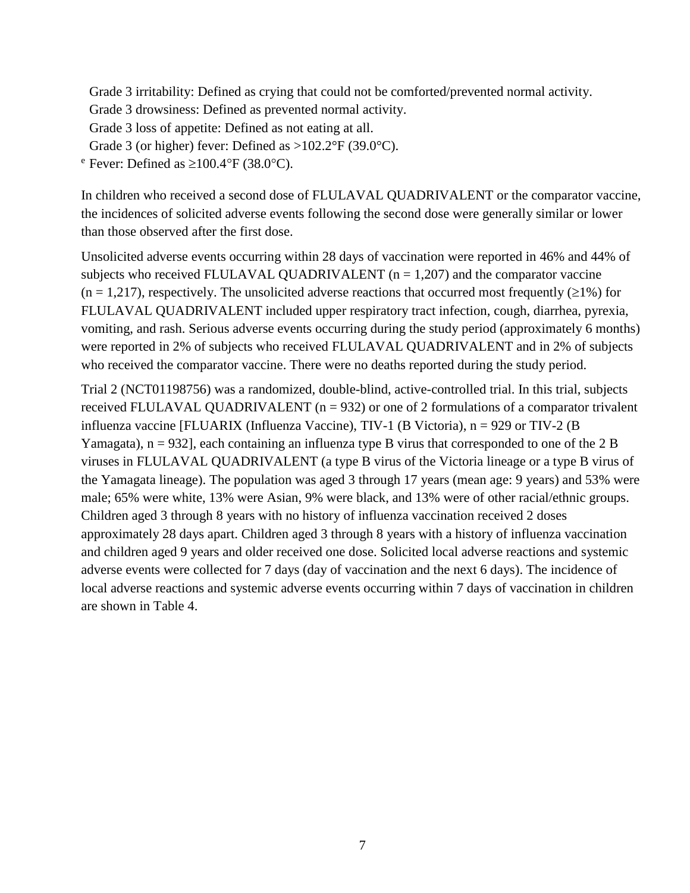Grade 3 irritability: Defined as crying that could not be comforted/prevented normal activity.

Grade 3 drowsiness: Defined as prevented normal activity.

Grade 3 loss of appetite: Defined as not eating at all.

Grade 3 (or higher) fever: Defined as  $>102.2^{\circ}F(39.0^{\circ}C)$ .

 $e^{\text{e}}$  Fever: Defined as  $\geq 100.4$  °F (38.0 °C).

In children who received a second dose of FLULAVAL QUADRIVALENT or the comparator vaccine, the incidences of solicited adverse events following the second dose were generally similar or lower than those observed after the first dose.

Unsolicited adverse events occurring within 28 days of vaccination were reported in 46% and 44% of subjects who received FLULAVAL QUADRIVALENT ( $n = 1,207$ ) and the comparator vaccine  $(n = 1,217)$ , respectively. The unsolicited adverse reactions that occurred most frequently ( $\geq 1\%$ ) for FLULAVAL QUADRIVALENT included upper respiratory tract infection, cough, diarrhea, pyrexia, vomiting, and rash. Serious adverse events occurring during the study period (approximately 6 months) were reported in 2% of subjects who received FLULAVAL QUADRIVALENT and in 2% of subjects who received the comparator vaccine. There were no deaths reported during the study period.

Trial 2 (NCT01198756) was a randomized, double-blind, active-controlled trial. In this trial, subjects received FLULAVAL QUADRIVALENT ( $n = 932$ ) or one of 2 formulations of a comparator trivalent influenza vaccine [FLUARIX (Influenza Vaccine), TIV-1 (B Victoria), n = 929 or TIV-2 (B Yamagata),  $n = 932$ , each containing an influenza type B virus that corresponded to one of the 2 B viruses in FLULAVAL QUADRIVALENT (a type B virus of the Victoria lineage or a type B virus of the Yamagata lineage). The population was aged 3 through 17 years (mean age: 9 years) and 53% were male; 65% were white, 13% were Asian, 9% were black, and 13% were of other racial/ethnic groups. Children aged 3 through 8 years with no history of influenza vaccination received 2 doses approximately 28 days apart. Children aged 3 through 8 years with a history of influenza vaccination and children aged 9 years and older received one dose. Solicited local adverse reactions and systemic adverse events were collected for 7 days (day of vaccination and the next 6 days). The incidence of local adverse reactions and systemic adverse events occurring within 7 days of vaccination in children are shown in Table 4.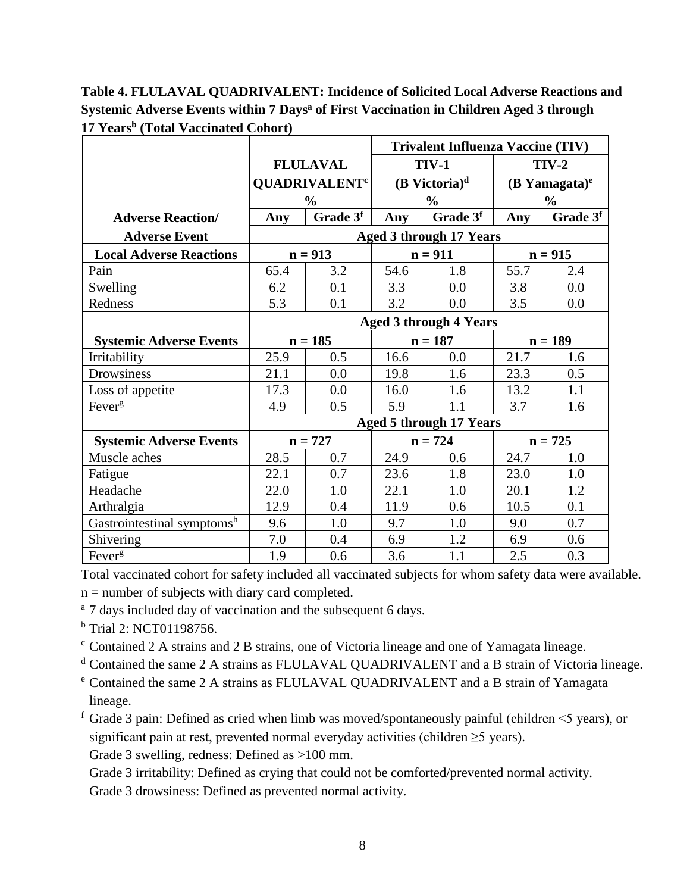**Table 4. FLULAVAL QUADRIVALENT: Incidence of Solicited Local Adverse Reactions and Systemic Adverse Events within 7 Days<sup>a</sup> of First Vaccination in Children Aged 3 through 17 Years<sup>b</sup> (Total Vaccinated Cohort)**

|                                |                 | <b>Trivalent Influenza Vaccine (TIV)</b> |                             |                                |                             |           |
|--------------------------------|-----------------|------------------------------------------|-----------------------------|--------------------------------|-----------------------------|-----------|
|                                | <b>FLULAVAL</b> |                                          | <b>TIV-1</b>                |                                | <b>TIV-2</b>                |           |
|                                |                 | <b>QUADRIVALENT<sup>c</sup></b>          | $(B$ Victoria) <sup>d</sup> |                                | $(B$ Yamagata) <sup>e</sup> |           |
|                                |                 | $\frac{0}{0}$                            |                             | $\frac{0}{0}$                  | $\frac{0}{0}$               |           |
| <b>Adverse Reaction/</b>       | Any             | Grade 3f                                 | Any                         | Grade 3 <sup>f</sup>           | Any                         | Grade 3f  |
| <b>Adverse Event</b>           |                 |                                          |                             | <b>Aged 3 through 17 Years</b> |                             |           |
| <b>Local Adverse Reactions</b> |                 | $n = 913$                                |                             | $n = 911$                      |                             | $n = 915$ |
| Pain                           | 65.4            | 3.2                                      | 54.6                        | 1.8                            | 55.7                        | 2.4       |
| Swelling                       | 6.2             | 0.1                                      | 3.3                         | 0.0                            | 3.8                         | 0.0       |
| Redness                        | 5.3             | 0.1                                      | 3.2                         | 0.0                            | 3.5                         | 0.0       |
|                                |                 |                                          |                             | <b>Aged 3 through 4 Years</b>  |                             |           |
| <b>Systemic Adverse Events</b> |                 | $n = 185$                                | $n = 187$                   |                                | $n = 189$                   |           |
| Irritability                   | 25.9            | 0.5                                      | 16.6                        | 0.0                            | 21.7                        | 1.6       |
| Drowsiness                     | 21.1            | 0.0                                      | 19.8                        | 1.6                            | 23.3                        | 0.5       |
| Loss of appetite               | 17.3            | 0.0                                      | 16.0                        | 1.6                            | 13.2                        | 1.1       |
| Fever <sup>g</sup>             | 4.9             | 0.5                                      | 5.9                         | 1.1                            | 3.7                         | 1.6       |
|                                |                 |                                          |                             | <b>Aged 5 through 17 Years</b> |                             |           |
| <b>Systemic Adverse Events</b> |                 | $n = 727$                                | $n = 724$                   |                                | $n = 725$                   |           |
| Muscle aches                   | 28.5            | 0.7                                      | 24.9                        | 0.6                            | 24.7                        | 1.0       |
| Fatigue                        | 22.1            | 0.7                                      | 23.6                        | 1.8                            | 23.0                        | 1.0       |
| Headache                       | 22.0            | 1.0                                      | 22.1                        | 1.0                            | 20.1                        | 1.2       |
| Arthralgia                     | 12.9            | 0.4                                      | 11.9                        | 0.6                            | 10.5                        | 0.1       |
| Gastrointestinal symptomsh     | 9.6             | 1.0                                      | 9.7                         | 1.0                            | 9.0                         | 0.7       |
| Shivering                      | 7.0             | 0.4                                      | 6.9                         | 1.2                            | 6.9                         | 0.6       |
| Fever <sup>g</sup>             | 1.9             | 0.6                                      | 3.6                         | 1.1                            | 2.5                         | 0.3       |

Total vaccinated cohort for safety included all vaccinated subjects for whom safety data were available.  $n =$  number of subjects with diary card completed.

<sup>a</sup> 7 days included day of vaccination and the subsequent 6 days.

<sup>b</sup> Trial 2: NCT01198756.

<sup>c</sup> Contained 2 A strains and 2 B strains, one of Victoria lineage and one of Yamagata lineage.

<sup>d</sup> Contained the same 2 A strains as FLULAVAL QUADRIVALENT and a B strain of Victoria lineage.

<sup>e</sup> Contained the same 2 A strains as FLULAVAL QUADRIVALENT and a B strain of Yamagata lineage.

 $f$  Grade 3 pain: Defined as cried when limb was moved/spontaneously painful (children  $\leq$ 5 years), or significant pain at rest, prevented normal everyday activities (children  $\geq$ 5 years). Grade 3 swelling, redness: Defined as >100 mm.

Grade 3 irritability: Defined as crying that could not be comforted/prevented normal activity.

Grade 3 drowsiness: Defined as prevented normal activity.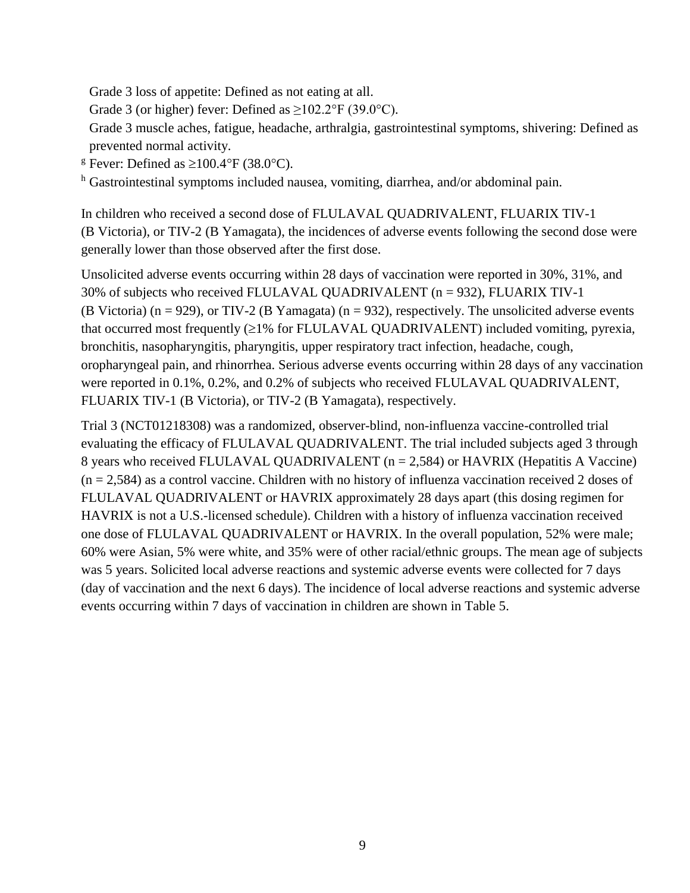Grade 3 loss of appetite: Defined as not eating at all.

Grade 3 (or higher) fever: Defined as  $\geq$ 102.2°F (39.0°C).

Grade 3 muscle aches, fatigue, headache, arthralgia, gastrointestinal symptoms, shivering: Defined as prevented normal activity.

<sup>g</sup> Fever: Defined as  $\geq 100.4$ °F (38.0°C).

h Gastrointestinal symptoms included nausea, vomiting, diarrhea, and/or abdominal pain.

In children who received a second dose of FLULAVAL QUADRIVALENT, FLUARIX TIV-1 (B Victoria), or TIV-2 (B Yamagata), the incidences of adverse events following the second dose were generally lower than those observed after the first dose.

Unsolicited adverse events occurring within 28 days of vaccination were reported in 30%, 31%, and 30% of subjects who received FLULAVAL QUADRIVALENT (n = 932), FLUARIX TIV-1 (B Victoria) ( $n = 929$ ), or TIV-2 (B Yamagata) ( $n = 932$ ), respectively. The unsolicited adverse events that occurred most frequently  $(\geq 1\%$  for FLULAVAL QUADRIVALENT) included vomiting, pyrexia, bronchitis, nasopharyngitis, pharyngitis, upper respiratory tract infection, headache, cough, oropharyngeal pain, and rhinorrhea. Serious adverse events occurring within 28 days of any vaccination were reported in 0.1%, 0.2%, and 0.2% of subjects who received FLULAVAL QUADRIVALENT, FLUARIX TIV-1 (B Victoria), or TIV-2 (B Yamagata), respectively.

Trial 3 (NCT01218308) was a randomized, observer-blind, non-influenza vaccine-controlled trial evaluating the efficacy of FLULAVAL QUADRIVALENT. The trial included subjects aged 3 through 8 years who received FLULAVAL QUADRIVALENT (n = 2,584) or HAVRIX (Hepatitis A Vaccine)  $(n = 2,584)$  as a control vaccine. Children with no history of influenza vaccination received 2 doses of FLULAVAL QUADRIVALENT or HAVRIX approximately 28 days apart (this dosing regimen for HAVRIX is not a U.S.-licensed schedule). Children with a history of influenza vaccination received one dose of FLULAVAL QUADRIVALENT or HAVRIX. In the overall population, 52% were male; 60% were Asian, 5% were white, and 35% were of other racial/ethnic groups. The mean age of subjects was 5 years. Solicited local adverse reactions and systemic adverse events were collected for 7 days (day of vaccination and the next 6 days). The incidence of local adverse reactions and systemic adverse events occurring within 7 days of vaccination in children are shown in Table 5.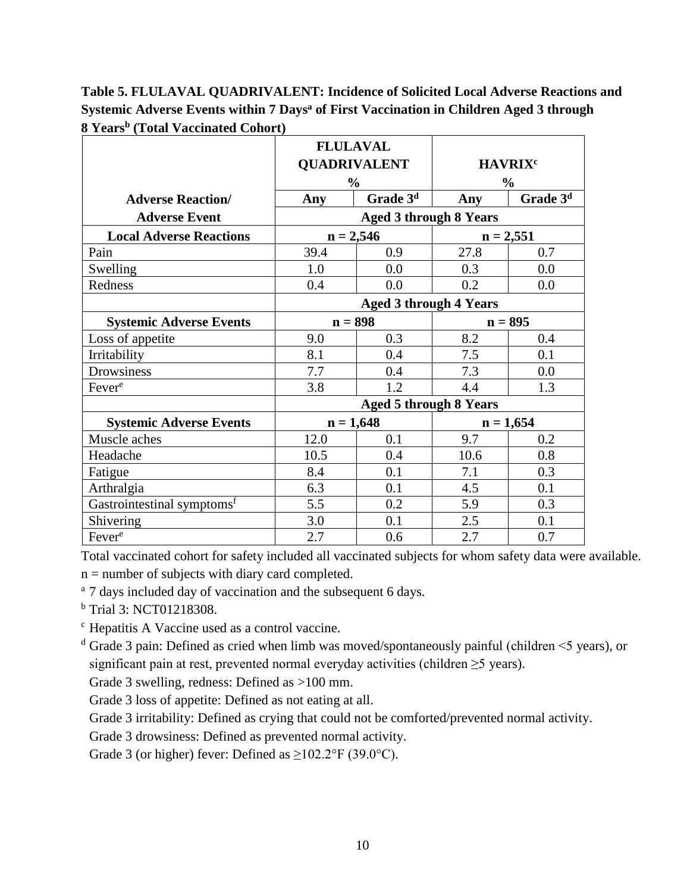**Table 5. FLULAVAL QUADRIVALENT: Incidence of Solicited Local Adverse Reactions and Systemic Adverse Events within 7 Days<sup>a</sup> of First Vaccination in Children Aged 3 through 8 Years<sup>b</sup> (Total Vaccinated Cohort)**

|                                        | <b>FLULAVAL</b>     |                               |                           |                      |  |
|----------------------------------------|---------------------|-------------------------------|---------------------------|----------------------|--|
|                                        | <b>QUADRIVALENT</b> |                               | <b>HAVRIX<sup>c</sup></b> |                      |  |
|                                        | $\frac{0}{0}$       |                               | $\frac{0}{0}$             |                      |  |
| <b>Adverse Reaction/</b>               | Any                 | Grade 3 <sup>d</sup>          | Any                       | Grade 3 <sup>d</sup> |  |
| <b>Adverse Event</b>                   |                     | <b>Aged 3 through 8 Years</b> |                           |                      |  |
| <b>Local Adverse Reactions</b>         | $n = 2,546$         |                               | $n = 2,551$               |                      |  |
| Pain                                   | 39.4                | 0.9                           | 27.8                      | 0.7                  |  |
| Swelling                               | 1.0                 | 0.0                           | 0.3                       | 0.0                  |  |
| Redness                                | 0.4                 | 0.0                           | 0.2                       | 0.0                  |  |
|                                        |                     | <b>Aged 3 through 4 Years</b> |                           |                      |  |
| <b>Systemic Adverse Events</b>         | $n = 898$           |                               | $n = 895$                 |                      |  |
| Loss of appetite                       | 9.0                 | 0.3                           | 8.2                       | 0.4                  |  |
| Irritability                           | 8.1                 | 0.4                           | 7.5                       | 0.1                  |  |
| Drowsiness                             | 7.7                 | 0.4                           | 7.3                       | 0.0                  |  |
| Fever <sup>e</sup>                     | 3.8                 | 1.2                           | 4.4                       | 1.3                  |  |
|                                        |                     | <b>Aged 5 through 8 Years</b> |                           |                      |  |
| <b>Systemic Adverse Events</b>         | $n = 1,648$         |                               | $n = 1,654$               |                      |  |
| Muscle aches                           | 12.0                | 0.1                           | 9.7                       | 0.2                  |  |
| Headache                               | 10.5                | 0.4                           | 10.6                      | 0.8                  |  |
| Fatigue                                | 8.4                 | 0.1                           | 7.1                       | 0.3                  |  |
| Arthralgia                             | 6.3                 | 0.1                           | 4.5                       | 0.1                  |  |
| Gastrointestinal symptoms <sup>f</sup> | 5.5                 | 0.2                           | 5.9                       | 0.3                  |  |
| Shivering                              | 3.0                 | 0.1                           | 2.5                       | 0.1                  |  |
| Fever <sup>e</sup>                     | 2.7                 | 0.6                           | 2.7                       | 0.7                  |  |

Total vaccinated cohort for safety included all vaccinated subjects for whom safety data were available.

 $n =$  number of subjects with diary card completed.

<sup>a</sup> 7 days included day of vaccination and the subsequent 6 days.

<sup>b</sup> Trial 3: NCT01218308.

<sup>c</sup> Hepatitis A Vaccine used as a control vaccine.

 $d$  Grade 3 pain: Defined as cried when limb was moved/spontaneously painful (children  $\leq$ 5 years), or significant pain at rest, prevented normal everyday activities (children ≥5 years).

Grade 3 swelling, redness: Defined as >100 mm.

Grade 3 loss of appetite: Defined as not eating at all.

Grade 3 irritability: Defined as crying that could not be comforted/prevented normal activity.

Grade 3 drowsiness: Defined as prevented normal activity.

Grade 3 (or higher) fever: Defined as  $\geq$ 102.2°F (39.0°C).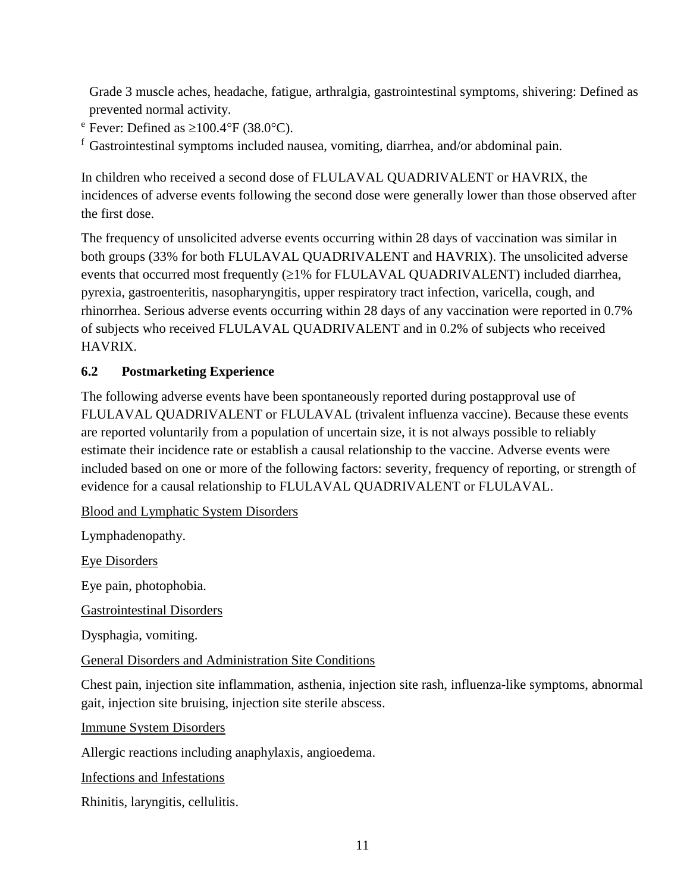Grade 3 muscle aches, headache, fatigue, arthralgia, gastrointestinal symptoms, shivering: Defined as prevented normal activity.

 $e^{\text{e}}$  Fever: Defined as  $\geq 100.4$  °F (38.0 °C).

 $f$  Gastrointestinal symptoms included nausea, vomiting, diarrhea, and/or abdominal pain.

In children who received a second dose of FLULAVAL QUADRIVALENT or HAVRIX, the incidences of adverse events following the second dose were generally lower than those observed after the first dose.

The frequency of unsolicited adverse events occurring within 28 days of vaccination was similar in both groups (33% for both FLULAVAL QUADRIVALENT and HAVRIX). The unsolicited adverse events that occurred most frequently  $(21\%$  for FLULAVAL QUADRIVALENT) included diarrhea, pyrexia, gastroenteritis, nasopharyngitis, upper respiratory tract infection, varicella, cough, and rhinorrhea. Serious adverse events occurring within 28 days of any vaccination were reported in 0.7% of subjects who received FLULAVAL QUADRIVALENT and in 0.2% of subjects who received HAVRIX.

#### <span id="page-10-0"></span>**6.2 Postmarketing Experience**

The following adverse events have been spontaneously reported during postapproval use of FLULAVAL QUADRIVALENT or FLULAVAL (trivalent influenza vaccine). Because these events are reported voluntarily from a population of uncertain size, it is not always possible to reliably estimate their incidence rate or establish a causal relationship to the vaccine. Adverse events were included based on one or more of the following factors: severity, frequency of reporting, or strength of evidence for a causal relationship to FLULAVAL QUADRIVALENT or FLULAVAL.

Blood and Lymphatic System Disorders

Lymphadenopathy.

Eye Disorders

Eye pain, photophobia.

Gastrointestinal Disorders

Dysphagia, vomiting.

General Disorders and Administration Site Conditions

Chest pain, injection site inflammation, asthenia, injection site rash, influenza-like symptoms, abnormal gait, injection site bruising, injection site sterile abscess.

Immune System Disorders

Allergic reactions including anaphylaxis, angioedema.

Infections and Infestations

Rhinitis, laryngitis, cellulitis.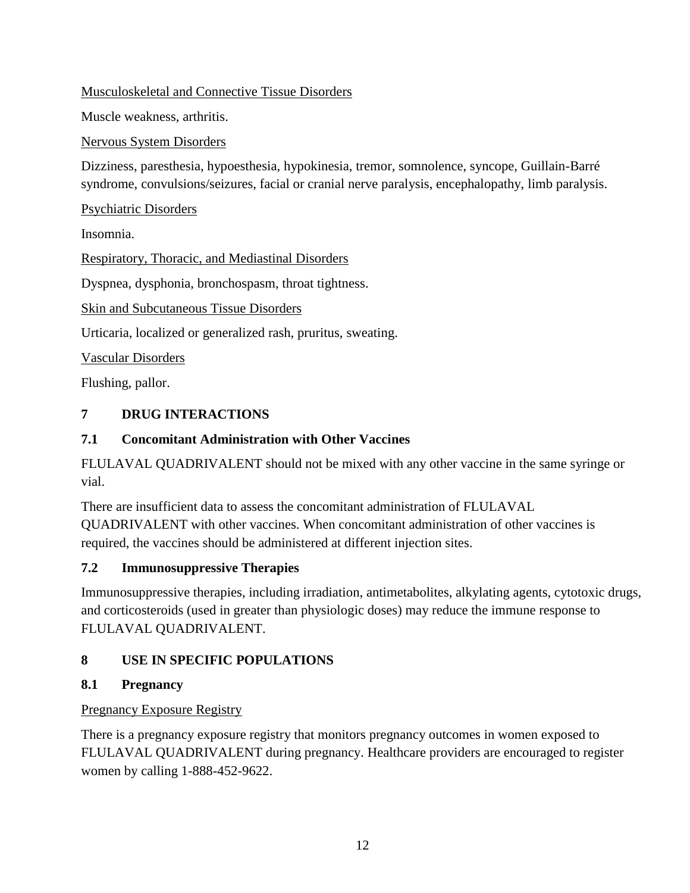Musculoskeletal and Connective Tissue Disorders

Muscle weakness, arthritis.

Nervous System Disorders

Dizziness, paresthesia, hypoesthesia, hypokinesia, tremor, somnolence, syncope, Guillain-Barré syndrome, convulsions/seizures, facial or cranial nerve paralysis, encephalopathy, limb paralysis.

Psychiatric Disorders

Insomnia.

Respiratory, Thoracic, and Mediastinal Disorders

Dyspnea, dysphonia, bronchospasm, throat tightness.

Skin and Subcutaneous Tissue Disorders

Urticaria, localized or generalized rash, pruritus, sweating.

Vascular Disorders

<span id="page-11-0"></span>Flushing, pallor.

## **7 DRUG INTERACTIONS**

#### <span id="page-11-1"></span>**7.1 Concomitant Administration with Other Vaccines**

FLULAVAL QUADRIVALENT should not be mixed with any other vaccine in the same syringe or vial.

There are insufficient data to assess the concomitant administration of FLULAVAL QUADRIVALENT with other vaccines. When concomitant administration of other vaccines is required, the vaccines should be administered at different injection sites.

## <span id="page-11-2"></span>**7.2 Immunosuppressive Therapies**

Immunosuppressive therapies, including irradiation, antimetabolites, alkylating agents, cytotoxic drugs, and corticosteroids (used in greater than physiologic doses) may reduce the immune response to FLULAVAL QUADRIVALENT.

## <span id="page-11-3"></span>**8 USE IN SPECIFIC POPULATIONS**

## <span id="page-11-4"></span>**8.1 Pregnancy**

## Pregnancy Exposure Registry

There is a pregnancy exposure registry that monitors pregnancy outcomes in women exposed to FLULAVAL QUADRIVALENT during pregnancy. Healthcare providers are encouraged to register women by calling 1-888-452-9622.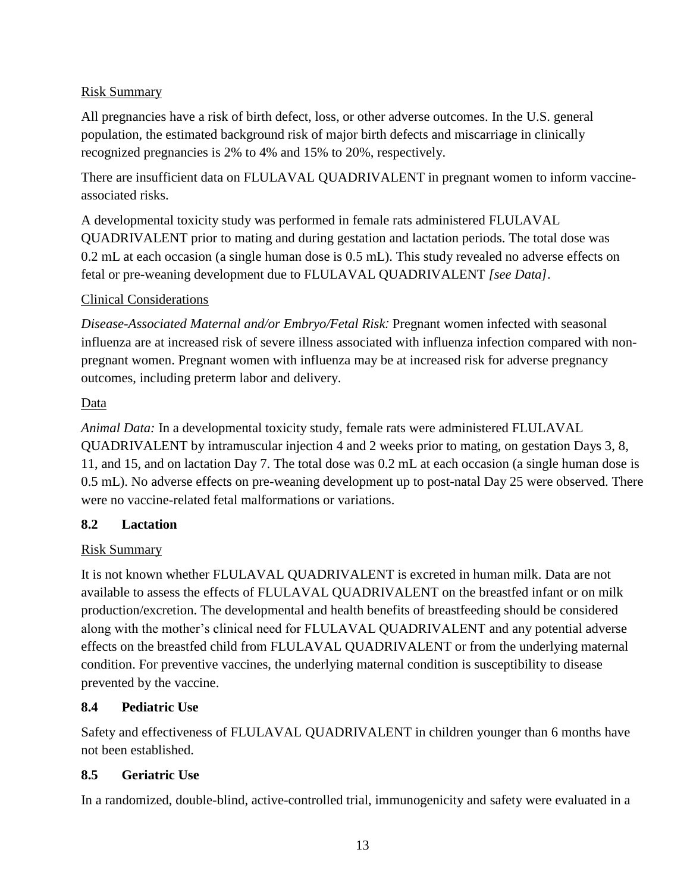#### Risk Summary

All pregnancies have a risk of birth defect, loss, or other adverse outcomes. In the U.S. general population, the estimated background risk of major birth defects and miscarriage in clinically recognized pregnancies is 2% to 4% and 15% to 20%, respectively.

There are insufficient data on FLULAVAL QUADRIVALENT in pregnant women to inform vaccineassociated risks.

A developmental toxicity study was performed in female rats administered FLULAVAL QUADRIVALENT prior to mating and during gestation and lactation periods. The total dose was 0.2 mL at each occasion (a single human dose is 0.5 mL). This study revealed no adverse effects on fetal or pre-weaning development due to FLULAVAL QUADRIVALENT *[see Data]*.

#### Clinical Considerations

*Disease-Associated Maternal and/or Embryo/Fetal Risk:* Pregnant women infected with seasonal influenza are at increased risk of severe illness associated with influenza infection compared with nonpregnant women. Pregnant women with influenza may be at increased risk for adverse pregnancy outcomes, including preterm labor and delivery.

#### Data

*Animal Data:* In a developmental toxicity study, female rats were administered FLULAVAL QUADRIVALENT by intramuscular injection 4 and 2 weeks prior to mating, on gestation Days 3, 8, 11, and 15, and on lactation Day 7. The total dose was 0.2 mL at each occasion (a single human dose is 0.5 mL). No adverse effects on pre-weaning development up to post-natal Day 25 were observed. There were no vaccine-related fetal malformations or variations.

#### <span id="page-12-0"></span>**8.2 Lactation**

## Risk Summary

It is not known whether FLULAVAL QUADRIVALENT is excreted in human milk. Data are not available to assess the effects of FLULAVAL QUADRIVALENT on the breastfed infant or on milk production/excretion. The developmental and health benefits of breastfeeding should be considered along with the mother's clinical need for FLULAVAL QUADRIVALENT and any potential adverse effects on the breastfed child from FLULAVAL QUADRIVALENT or from the underlying maternal condition. For preventive vaccines, the underlying maternal condition is susceptibility to disease prevented by the vaccine.

## <span id="page-12-1"></span>**8.4 Pediatric Use**

Safety and effectiveness of FLULAVAL QUADRIVALENT in children younger than 6 months have not been established.

## <span id="page-12-2"></span>**8.5 Geriatric Use**

In a randomized, double-blind, active-controlled trial, immunogenicity and safety were evaluated in a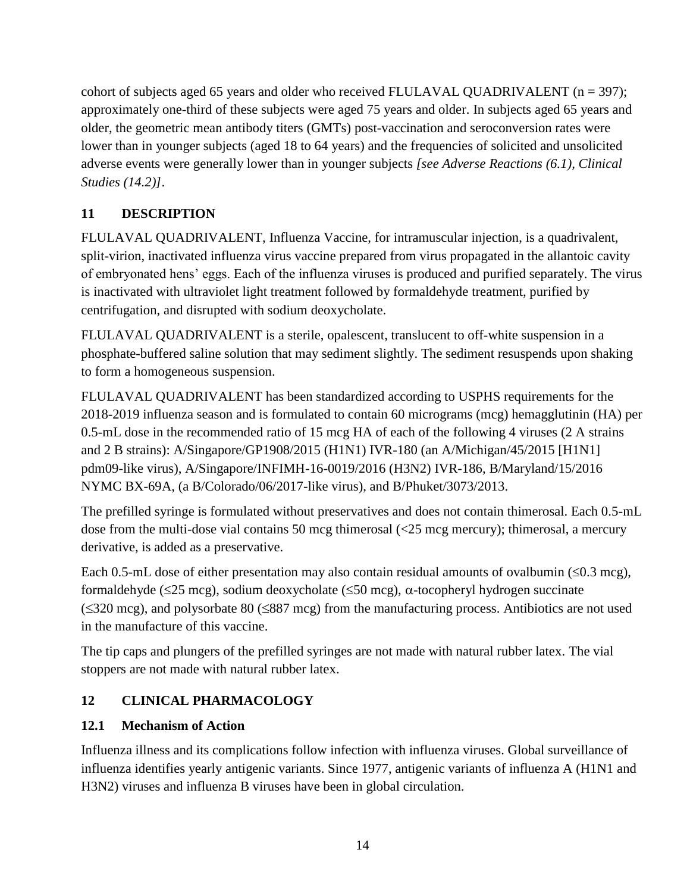cohort of subjects aged 65 years and older who received FLULAVAL QUADRIVALENT  $(n = 397)$ ; approximately one-third of these subjects were aged 75 years and older. In subjects aged 65 years and older, the geometric mean antibody titers (GMTs) post-vaccination and seroconversion rates were lower than in younger subjects (aged 18 to 64 years) and the frequencies of solicited and unsolicited adverse events were generally lower than in younger subjects *[see Adverse Reactions (6.1), Clinical Studies (14.2)]*.

# <span id="page-13-0"></span>**11 DESCRIPTION**

FLULAVAL QUADRIVALENT, Influenza Vaccine, for intramuscular injection, is a quadrivalent, split-virion, inactivated influenza virus vaccine prepared from virus propagated in the allantoic cavity of embryonated hens' eggs. Each of the influenza viruses is produced and purified separately. The virus is inactivated with ultraviolet light treatment followed by formaldehyde treatment, purified by centrifugation, and disrupted with sodium deoxycholate.

FLULAVAL QUADRIVALENT is a sterile, opalescent, translucent to off-white suspension in a phosphate-buffered saline solution that may sediment slightly. The sediment resuspends upon shaking to form a homogeneous suspension.

FLULAVAL QUADRIVALENT has been standardized according to USPHS requirements for the 2018-2019 influenza season and is formulated to contain 60 micrograms (mcg) hemagglutinin (HA) per 0.5-mL dose in the recommended ratio of 15 mcg HA of each of the following 4 viruses (2 A strains and 2 B strains): A/Singapore/GP1908/2015 (H1N1) IVR-180 (an A/Michigan/45/2015 [H1N1] pdm09-like virus), A/Singapore/INFIMH-16-0019/2016 (H3N2) IVR-186, B/Maryland/15/2016 NYMC BX-69A, (a B/Colorado/06/2017-like virus), and B/Phuket/3073/2013.

The prefilled syringe is formulated without preservatives and does not contain thimerosal. Each 0.5-mL dose from the multi-dose vial contains 50 mcg thimerosal (<25 mcg mercury); thimerosal, a mercury derivative, is added as a preservative.

Each 0.5-mL dose of either presentation may also contain residual amounts of ovalbumin  $(\leq 0.3 \text{ mcg})$ , formaldehyde ( $\leq$ 25 mcg), sodium deoxycholate ( $\leq$ 50 mcg),  $\alpha$ -tocopheryl hydrogen succinate  $(\leq 320 \text{ mcg})$ , and polysorbate 80 ( $\leq 887 \text{ mcg}$ ) from the manufacturing process. Antibiotics are not used in the manufacture of this vaccine.

The tip caps and plungers of the prefilled syringes are not made with natural rubber latex. The vial stoppers are not made with natural rubber latex.

## <span id="page-13-1"></span>**12 CLINICAL PHARMACOLOGY**

## <span id="page-13-2"></span>**12.1 Mechanism of Action**

Influenza illness and its complications follow infection with influenza viruses. Global surveillance of influenza identifies yearly antigenic variants. Since 1977, antigenic variants of influenza A (H1N1 and H3N2) viruses and influenza B viruses have been in global circulation.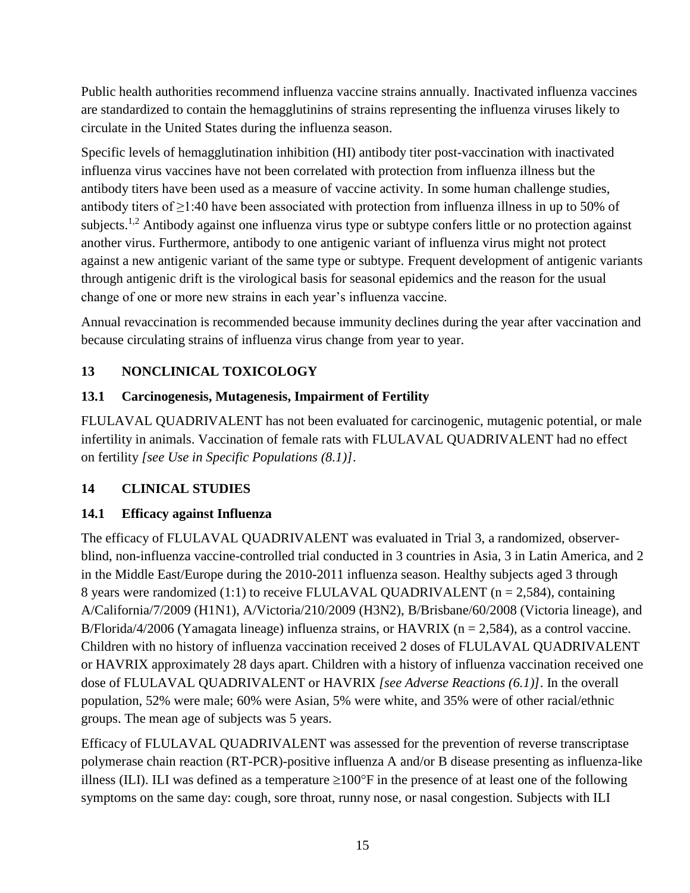Public health authorities recommend influenza vaccine strains annually. Inactivated influenza vaccines are standardized to contain the hemagglutinins of strains representing the influenza viruses likely to circulate in the United States during the influenza season.

Specific levels of hemagglutination inhibition (HI) antibody titer post-vaccination with inactivated influenza virus vaccines have not been correlated with protection from influenza illness but the antibody titers have been used as a measure of vaccine activity. In some human challenge studies, antibody titers of ≥1:40 have been associated with protection from influenza illness in up to 50% of subjects.<sup>1,2</sup> Antibody against one influenza virus type or subtype confers little or no protection against another virus. Furthermore, antibody to one antigenic variant of influenza virus might not protect against a new antigenic variant of the same type or subtype. Frequent development of antigenic variants through antigenic drift is the virological basis for seasonal epidemics and the reason for the usual change of one or more new strains in each year's influenza vaccine.

Annual revaccination is recommended because immunity declines during the year after vaccination and because circulating strains of influenza virus change from year to year.

## <span id="page-14-0"></span>**13 NONCLINICAL TOXICOLOGY**

## <span id="page-14-1"></span>**13.1 Carcinogenesis, Mutagenesis, Impairment of Fertility**

FLULAVAL QUADRIVALENT has not been evaluated for carcinogenic, mutagenic potential, or male infertility in animals. Vaccination of female rats with FLULAVAL QUADRIVALENT had no effect on fertility *[see Use in Specific Populations (8.1)]*.

#### <span id="page-14-2"></span>**14 CLINICAL STUDIES**

## <span id="page-14-3"></span>**14.1 Efficacy against Influenza**

The efficacy of FLULAVAL QUADRIVALENT was evaluated in Trial 3, a randomized, observerblind, non-influenza vaccine-controlled trial conducted in 3 countries in Asia, 3 in Latin America, and 2 in the Middle East/Europe during the 2010-2011 influenza season. Healthy subjects aged 3 through 8 years were randomized (1:1) to receive FLULAVAL QUADRIVALENT ( $n = 2,584$ ), containing A/California/7/2009 (H1N1), A/Victoria/210/2009 (H3N2), B/Brisbane/60/2008 (Victoria lineage), and B/Florida/4/2006 (Yamagata lineage) influenza strains, or HAVRIX ( $n = 2.584$ ), as a control vaccine. Children with no history of influenza vaccination received 2 doses of FLULAVAL QUADRIVALENT or HAVRIX approximately 28 days apart. Children with a history of influenza vaccination received one dose of FLULAVAL QUADRIVALENT or HAVRIX *[see Adverse Reactions (6.1)]*. In the overall population, 52% were male; 60% were Asian, 5% were white, and 35% were of other racial/ethnic groups. The mean age of subjects was 5 years.

Efficacy of FLULAVAL QUADRIVALENT was assessed for the prevention of reverse transcriptase polymerase chain reaction (RT-PCR)-positive influenza A and/or B disease presenting as influenza-like illness (ILI). ILI was defined as a temperature  $\geq 100^{\circ}$  F in the presence of at least one of the following symptoms on the same day: cough, sore throat, runny nose, or nasal congestion. Subjects with ILI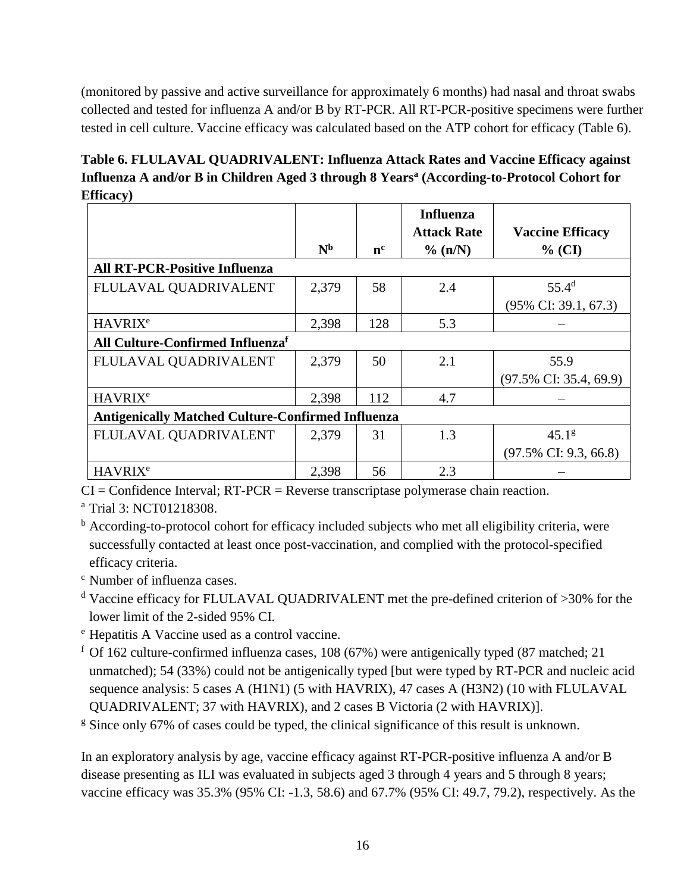(monitored by passive and active surveillance for approximately 6 months) had nasal and throat swabs collected and tested for influenza A and/or B by RT-PCR. All RT-PCR-positive specimens were further tested in cell culture. Vaccine efficacy was calculated based on the ATP cohort for efficacy (Table 6).

**Table 6. FLULAVAL QUADRIVALENT: Influenza Attack Rates and Vaccine Efficacy against Influenza A and/or B in Children Aged 3 through 8 Years<sup>a</sup> (According-to-Protocol Cohort for Efficacy)**

|                                                          | N <sub>b</sub> | $n^{c}$ | <b>Influenza</b><br><b>Attack Rate</b><br>% (n/N) | <b>Vaccine Efficacy</b><br>$%$ (CI) |  |  |
|----------------------------------------------------------|----------------|---------|---------------------------------------------------|-------------------------------------|--|--|
| <b>All RT-PCR-Positive Influenza</b>                     |                |         |                                                   |                                     |  |  |
| FLULAVAL QUADRIVALENT                                    | 2,379          | 58      | 2.4                                               | $55.4^{\rm d}$                      |  |  |
|                                                          |                |         |                                                   | $(95\% \text{ CI: } 39.1, 67.3)$    |  |  |
| <b>HAVRIX<sup>e</sup></b>                                | 2,398          | 128     | 5.3                                               |                                     |  |  |
| All Culture-Confirmed Influenzaf                         |                |         |                                                   |                                     |  |  |
| FLULAVAL QUADRIVALENT                                    | 2,379          | 50      | 2.1                                               | 55.9                                |  |  |
|                                                          |                |         |                                                   | $(97.5\% \text{ CI: } 35.4, 69.9)$  |  |  |
| <b>HAVRIX<sup>e</sup></b>                                | 2,398          | 112     | 4.7                                               |                                     |  |  |
| <b>Antigenically Matched Culture-Confirmed Influenza</b> |                |         |                                                   |                                     |  |  |
| FLULAVAL QUADRIVALENT                                    | 2,379          | 31      | 1.3                                               | 45.1 <sup>g</sup>                   |  |  |
|                                                          |                |         |                                                   | $(97.5\% \text{ CI: } 9.3, 66.8)$   |  |  |
| <b>HAVRIX<sup>e</sup></b>                                | 2,398          | 56      | 2.3                                               |                                     |  |  |

 $CI =$ Confidence Interval;  $RT-PCR =$ Reverse transcriptase polymerase chain reaction.

<sup>a</sup> Trial 3: NCT01218308.

<sup>b</sup> According-to-protocol cohort for efficacy included subjects who met all eligibility criteria, were successfully contacted at least once post-vaccination, and complied with the protocol-specified efficacy criteria.

<sup>c</sup> Number of influenza cases.

- <sup>d</sup> Vaccine efficacy for FLULAVAL QUADRIVALENT met the pre-defined criterion of >30% for the lower limit of the 2-sided 95% CI.
- <sup>e</sup> Hepatitis A Vaccine used as a control vaccine.
- $f$  Of 162 culture-confirmed influenza cases, 108 (67%) were antigenically typed (87 matched; 21 unmatched); 54 (33%) could not be antigenically typed [but were typed by RT-PCR and nucleic acid sequence analysis: 5 cases A (H1N1) (5 with HAVRIX), 47 cases A (H3N2) (10 with FLULAVAL QUADRIVALENT; 37 with HAVRIX), and 2 cases B Victoria (2 with HAVRIX)].

<sup>g</sup> Since only 67% of cases could be typed, the clinical significance of this result is unknown.

In an exploratory analysis by age, vaccine efficacy against RT-PCR-positive influenza A and/or B disease presenting as ILI was evaluated in subjects aged 3 through 4 years and 5 through 8 years; vaccine efficacy was 35.3% (95% CI: -1.3, 58.6) and 67.7% (95% CI: 49.7, 79.2), respectively. As the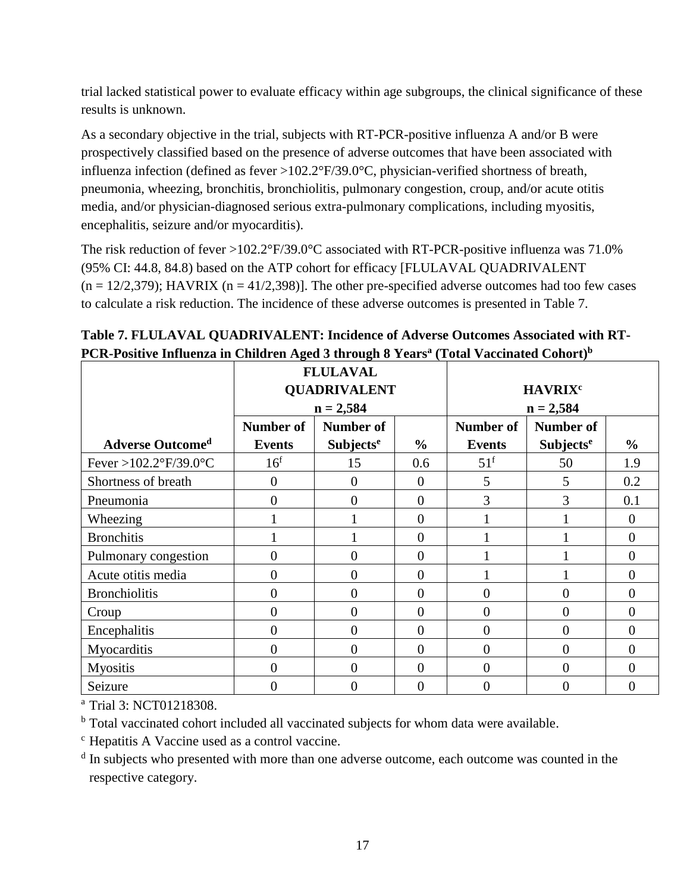trial lacked statistical power to evaluate efficacy within age subgroups, the clinical significance of these results is unknown.

As a secondary objective in the trial, subjects with RT-PCR-positive influenza A and/or B were prospectively classified based on the presence of adverse outcomes that have been associated with influenza infection (defined as fever >102.2°F/39.0°C, physician-verified shortness of breath, pneumonia, wheezing, bronchitis, bronchiolitis, pulmonary congestion, croup, and/or acute otitis media, and/or physician-diagnosed serious extra-pulmonary complications, including myositis, encephalitis, seizure and/or myocarditis).

The risk reduction of fever >102.2°F/39.0°C associated with RT-PCR-positive influenza was 71.0% (95% CI: 44.8, 84.8) based on the ATP cohort for efficacy [FLULAVAL QUADRIVALENT  $(n = 12/2,379)$ ; HAVRIX  $(n = 41/2,398)$ ]. The other pre-specified adverse outcomes had too few cases to calculate a risk reduction. The incidence of these adverse outcomes is presented in Table 7.

|                         |                     | <b>FLULAVAL</b>             |                  |                           |                             |                |
|-------------------------|---------------------|-----------------------------|------------------|---------------------------|-----------------------------|----------------|
|                         | <b>QUADRIVALENT</b> |                             |                  | <b>HAVRIX<sup>c</sup></b> |                             |                |
|                         |                     | $n = 2,584$                 |                  | $n = 2,584$               |                             |                |
|                         | <b>Number of</b>    | Number of                   |                  | <b>Number of</b>          | <b>Number of</b>            |                |
| <b>Adverse Outcomed</b> | Events              | <b>Subjects<sup>e</sup></b> | $\frac{6}{6}$    | <b>Events</b>             | <b>Subjects<sup>e</sup></b> | $\frac{0}{0}$  |
| Fever >102.2°F/39.0°C   | 16 <sup>f</sup>     | 15                          | 0.6              | $51^{\rm f}$              | 50                          | 1.9            |
| Shortness of breath     | $\boldsymbol{0}$    | $\theta$                    | $\boldsymbol{0}$ | 5                         | 5                           | 0.2            |
| Pneumonia               | $\overline{0}$      | $\Omega$                    | $\overline{0}$   | 3                         | 3                           | 0.1            |
| Wheezing                |                     |                             | $\overline{0}$   |                           |                             | $\overline{0}$ |
| <b>Bronchitis</b>       |                     |                             | $\overline{0}$   |                           |                             | $\overline{0}$ |
| Pulmonary congestion    | $\overline{0}$      | $\theta$                    | $\boldsymbol{0}$ |                           |                             | $\Omega$       |
| Acute otitis media      | $\overline{0}$      | $\Omega$                    | $\overline{0}$   |                           |                             | $\Omega$       |
| <b>Bronchiolitis</b>    | $\theta$            | $\Omega$                    | $\overline{0}$   | $\overline{0}$            | $\overline{0}$              | $\Omega$       |
| Croup                   | $\theta$            | $\Omega$                    | $\overline{0}$   | $\overline{0}$            | $\theta$                    | $\Omega$       |
| Encephalitis            | $\theta$            | $\Omega$                    | $\theta$         | $\overline{0}$            | $\overline{0}$              | $\Omega$       |
| Myocarditis             | $\theta$            | 0                           | $\theta$         | $\overline{0}$            | $\overline{0}$              | $\theta$       |
| Myositis                | 0                   | $\Omega$                    | $\overline{0}$   | $\overline{0}$            | $\theta$                    | $\theta$       |
| Seizure                 | 0                   |                             | $\overline{0}$   | $\overline{0}$            | $\overline{0}$              | 0              |

**Table 7. FLULAVAL QUADRIVALENT: Incidence of Adverse Outcomes Associated with RT-PCR-Positive Influenza in Children Aged 3 through 8 Years<sup>a</sup> (Total Vaccinated Cohort) b**

<sup>a</sup> Trial 3: NCT01218308.

<sup>b</sup> Total vaccinated cohort included all vaccinated subjects for whom data were available.

<sup>c</sup> Hepatitis A Vaccine used as a control vaccine.

<sup>d</sup> In subjects who presented with more than one adverse outcome, each outcome was counted in the respective category.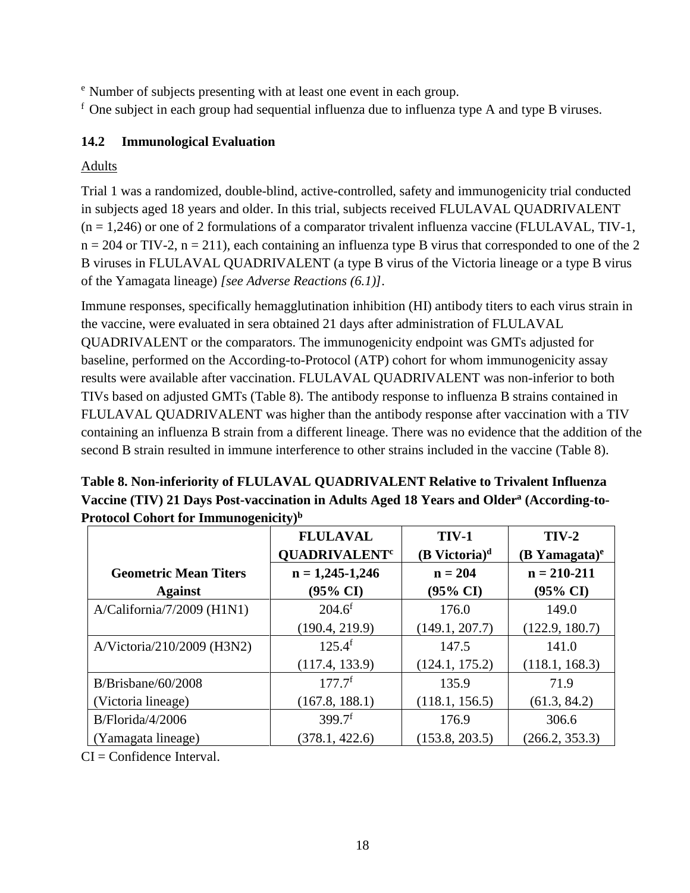<sup>e</sup> Number of subjects presenting with at least one event in each group.

 $<sup>f</sup>$  One subject in each group had sequential influenza due to influenza type A and type B viruses.</sup>

#### <span id="page-17-0"></span>**14.2 Immunological Evaluation**

#### Adults

Trial 1 was a randomized, double-blind, active-controlled, safety and immunogenicity trial conducted in subjects aged 18 years and older. In this trial, subjects received FLULAVAL QUADRIVALENT  $(n = 1,246)$  or one of 2 formulations of a comparator trivalent influenza vaccine (FLULAVAL, TIV-1,  $n = 204$  or TIV-2,  $n = 211$ ), each containing an influenza type B virus that corresponded to one of the 2 B viruses in FLULAVAL QUADRIVALENT (a type B virus of the Victoria lineage or a type B virus of the Yamagata lineage) *[see Adverse Reactions (6.1)]*.

Immune responses, specifically hemagglutination inhibition (HI) antibody titers to each virus strain in the vaccine, were evaluated in sera obtained 21 days after administration of FLULAVAL QUADRIVALENT or the comparators. The immunogenicity endpoint was GMTs adjusted for baseline, performed on the According-to-Protocol (ATP) cohort for whom immunogenicity assay results were available after vaccination. FLULAVAL QUADRIVALENT was non-inferior to both TIVs based on adjusted GMTs (Table 8). The antibody response to influenza B strains contained in FLULAVAL QUADRIVALENT was higher than the antibody response after vaccination with a TIV containing an influenza B strain from a different lineage. There was no evidence that the addition of the second B strain resulted in immune interference to other strains included in the vaccine (Table 8).

| Table 8. Non-inferiority of FLULAVAL QUADRIVALENT Relative to Trivalent Influenza                    |
|------------------------------------------------------------------------------------------------------|
| Vaccine (TIV) 21 Days Post-vaccination in Adults Aged 18 Years and Older <sup>a</sup> (According-to- |
| Protocol Cohort for Immunogenicity) <sup>b</sup>                                                     |

|                              | <b>FLULAVAL</b><br><b>QUADRIVALENT<sup>c</sup></b> | <b>TIV-1</b><br>$(B$ Victoria) <sup>d</sup> | $TIV-2$<br>$(B$ Yamagata) <sup>e</sup> |
|------------------------------|----------------------------------------------------|---------------------------------------------|----------------------------------------|
| <b>Geometric Mean Titers</b> | $n = 1,245-1,246$                                  | $n = 204$                                   | $n = 210 - 211$                        |
| <b>Against</b>               | $(95\% \text{ CI})$                                | $(95\% \text{ CI})$                         | $(95\% \text{ CI})$                    |
| $A/California/7/2009$ (H1N1) | $204.6^f$                                          | 176.0                                       | 149.0                                  |
|                              | (190.4, 219.9)                                     | (149.1, 207.7)                              | (122.9, 180.7)                         |
| A/Victoria/210/2009 (H3N2)   | $125.4^{f}$                                        | 147.5                                       | 141.0                                  |
|                              | (117.4, 133.9)                                     | (124.1, 175.2)                              | (118.1, 168.3)                         |
| $B/B$ risbane/60/2008        | $177.7^{\rm f}$                                    | 135.9                                       | 71.9                                   |
| (Victoria lineage)           | (167.8, 188.1)                                     | (118.1, 156.5)                              | (61.3, 84.2)                           |
| B/Florida/4/2006             | $399.7$ <sup>f</sup>                               | 176.9                                       | 306.6                                  |
| (Yamagata lineage)           | (378.1, 422.6)                                     | (153.8, 203.5)                              | (266.2, 353.3)                         |

CI = Confidence Interval.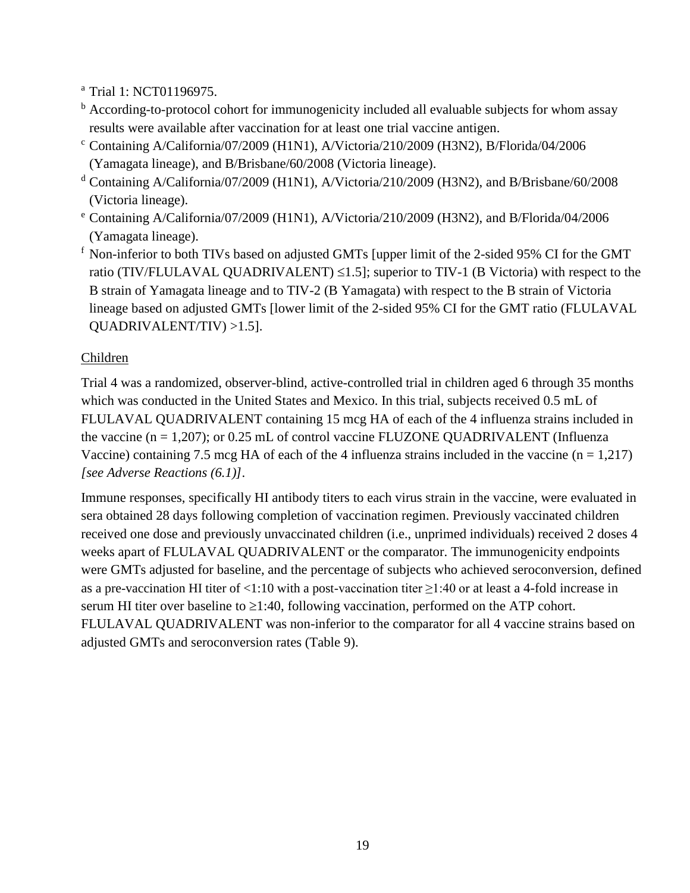<sup>a</sup> Trial 1: NCT01196975.

- <sup>b</sup> According-to-protocol cohort for immunogenicity included all evaluable subjects for whom assay results were available after vaccination for at least one trial vaccine antigen.
- $c$  Containing A/California/07/2009 (H1N1), A/Victoria/210/2009 (H3N2), B/Florida/04/2006 (Yamagata lineage), and B/Brisbane/60/2008 (Victoria lineage).
- <sup>d</sup> Containing A/California/07/2009 (H1N1), A/Victoria/210/2009 (H3N2), and B/Brisbane/60/2008 (Victoria lineage).
- <sup>e</sup> Containing A/California/07/2009 (H1N1), A/Victoria/210/2009 (H3N2), and B/Florida/04/2006 (Yamagata lineage).
- $f$  Non-inferior to both TIVs based on adjusted GMTs [upper limit of the 2-sided 95% CI for the GMT ratio (TIV/FLULAVAL QUADRIVALENT)  $\leq$ 1.5]; superior to TIV-1 (B Victoria) with respect to the B strain of Yamagata lineage and to TIV-2 (B Yamagata) with respect to the B strain of Victoria lineage based on adjusted GMTs [lower limit of the 2-sided 95% CI for the GMT ratio (FLULAVAL QUADRIVALENT/TIV) >1.5].

## Children

Trial 4 was a randomized, observer-blind, active-controlled trial in children aged 6 through 35 months which was conducted in the United States and Mexico. In this trial, subjects received 0.5 mL of FLULAVAL QUADRIVALENT containing 15 mcg HA of each of the 4 influenza strains included in the vaccine  $(n = 1,207)$ ; or 0.25 mL of control vaccine FLUZONE QUADRIVALENT (Influenza Vaccine) containing 7.5 mcg HA of each of the 4 influenza strains included in the vaccine  $(n = 1,217)$ *[see Adverse Reactions (6.1)]*.

Immune responses, specifically HI antibody titers to each virus strain in the vaccine, were evaluated in sera obtained 28 days following completion of vaccination regimen. Previously vaccinated children received one dose and previously unvaccinated children (i.e., unprimed individuals) received 2 doses 4 weeks apart of FLULAVAL QUADRIVALENT or the comparator. The immunogenicity endpoints were GMTs adjusted for baseline, and the percentage of subjects who achieved seroconversion, defined as a pre-vaccination HI titer of <1:10 with a post-vaccination titer  $\geq$ 1:40 or at least a 4-fold increase in serum HI titer over baseline to  $\geq 1:40$ , following vaccination, performed on the ATP cohort. FLULAVAL QUADRIVALENT was non-inferior to the comparator for all 4 vaccine strains based on adjusted GMTs and seroconversion rates (Table 9).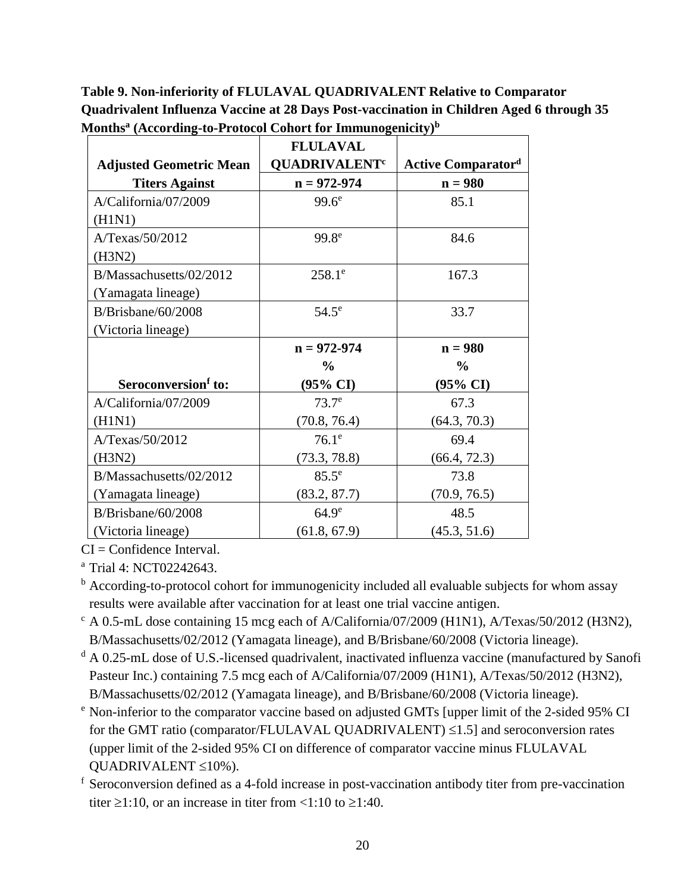**Table 9. Non-inferiority of FLULAVAL QUADRIVALENT Relative to Comparator Quadrivalent Influenza Vaccine at 28 Days Post-vaccination in Children Aged 6 through 35 Months<sup>a</sup> (According-to-Protocol Cohort for Immunogenicity)<sup>b</sup>**

|                                 | <b>FLULAVAL</b>                 |                           |
|---------------------------------|---------------------------------|---------------------------|
| <b>Adjusted Geometric Mean</b>  | <b>QUADRIVALENT<sup>c</sup></b> | <b>Active Comparatord</b> |
| <b>Titers Against</b>           | $n = 972 - 974$                 | $n = 980$                 |
| A/California/07/2009            | 99.6 <sup>e</sup>               | 85.1                      |
| (H1N1)                          |                                 |                           |
| A/Texas/50/2012                 | 99.8 <sup>e</sup>               | 84.6                      |
| (H3N2)                          |                                 |                           |
| B/Massachusetts/02/2012         | $258.1^e$                       | 167.3                     |
| (Yamagata lineage)              |                                 |                           |
| $B/B$ risbane/60/2008           | $54.5^\circ$                    | 33.7                      |
| (Victoria lineage)              |                                 |                           |
|                                 | $n = 972 - 974$                 | $n = 980$                 |
|                                 | $\frac{0}{0}$                   | $\frac{0}{0}$             |
| Seroconversion <sup>f</sup> to: | (95% CI)                        | (95% CI)                  |
| A/California/07/2009            | 73.7 <sup>e</sup>               | 67.3                      |
| (H1N1)                          | (70.8, 76.4)                    | (64.3, 70.3)              |
| A/Texas/50/2012                 | $76.1^\circ$                    | 69.4                      |
| (H3N2)                          | (73.3, 78.8)                    | (66.4, 72.3)              |
| B/Massachusetts/02/2012         | $85.5^e$                        | 73.8                      |
| (Yamagata lineage)              | (83.2, 87.7)                    | (70.9, 76.5)              |
| B/Brisbane/60/2008              | 64.9 <sup>e</sup>               | 48.5                      |
| (Victoria lineage)              | (61.8, 67.9)                    | (45.3, 51.6)              |

 $CI =$ Confidence Interval.

<sup>a</sup> Trial 4: NCT02242643.

- <sup>b</sup> According-to-protocol cohort for immunogenicity included all evaluable subjects for whom assay results were available after vaccination for at least one trial vaccine antigen.
- $c$  A 0.5-mL dose containing 15 mcg each of A/California/07/2009 (H1N1), A/Texas/50/2012 (H3N2), B/Massachusetts/02/2012 (Yamagata lineage), and B/Brisbane/60/2008 (Victoria lineage).
- <sup>d</sup> A 0.25-mL dose of U.S.-licensed quadrivalent, inactivated influenza vaccine (manufactured by Sanofi Pasteur Inc.) containing 7.5 mcg each of A/California/07/2009 (H1N1), A/Texas/50/2012 (H3N2), B/Massachusetts/02/2012 (Yamagata lineage), and B/Brisbane/60/2008 (Victoria lineage).
- <sup>e</sup> Non-inferior to the comparator vaccine based on adjusted GMTs [upper limit of the 2-sided 95% CI for the GMT ratio (comparator/FLULAVAL QUADRIVALENT)  $\leq$ 1.5] and seroconversion rates (upper limit of the 2-sided 95% CI on difference of comparator vaccine minus FLULAVAL QUADRIVALENT  $\leq 10\%$ ).
- <sup>f</sup> Seroconversion defined as a 4-fold increase in post-vaccination antibody titer from pre-vaccination titer  $\geq 1:10$ , or an increase in titer from  $\leq 1:10$  to  $\geq 1:40$ .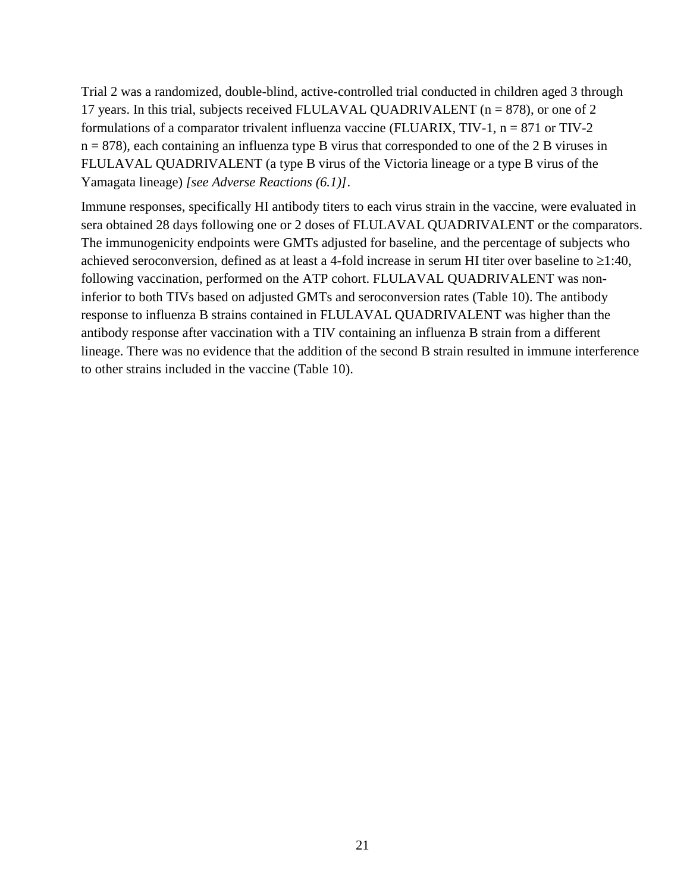Trial 2 was a randomized, double-blind, active-controlled trial conducted in children aged 3 through 17 years. In this trial, subjects received FLULAVAL QUADRIVALENT ( $n = 878$ ), or one of 2 formulations of a comparator trivalent influenza vaccine (FLUARIX,  $TIV-1$ ,  $n = 871$  or  $TIV-2$  $n = 878$ , each containing an influenza type B virus that corresponded to one of the 2 B viruses in FLULAVAL QUADRIVALENT (a type B virus of the Victoria lineage or a type B virus of the Yamagata lineage) *[see Adverse Reactions (6.1)]*.

Immune responses, specifically HI antibody titers to each virus strain in the vaccine, were evaluated in sera obtained 28 days following one or 2 doses of FLULAVAL QUADRIVALENT or the comparators. The immunogenicity endpoints were GMTs adjusted for baseline, and the percentage of subjects who achieved seroconversion, defined as at least a 4-fold increase in serum HI titer over baseline to  $\geq 1:40$ , following vaccination, performed on the ATP cohort. FLULAVAL QUADRIVALENT was noninferior to both TIVs based on adjusted GMTs and seroconversion rates (Table 10). The antibody response to influenza B strains contained in FLULAVAL QUADRIVALENT was higher than the antibody response after vaccination with a TIV containing an influenza B strain from a different lineage. There was no evidence that the addition of the second B strain resulted in immune interference to other strains included in the vaccine (Table 10).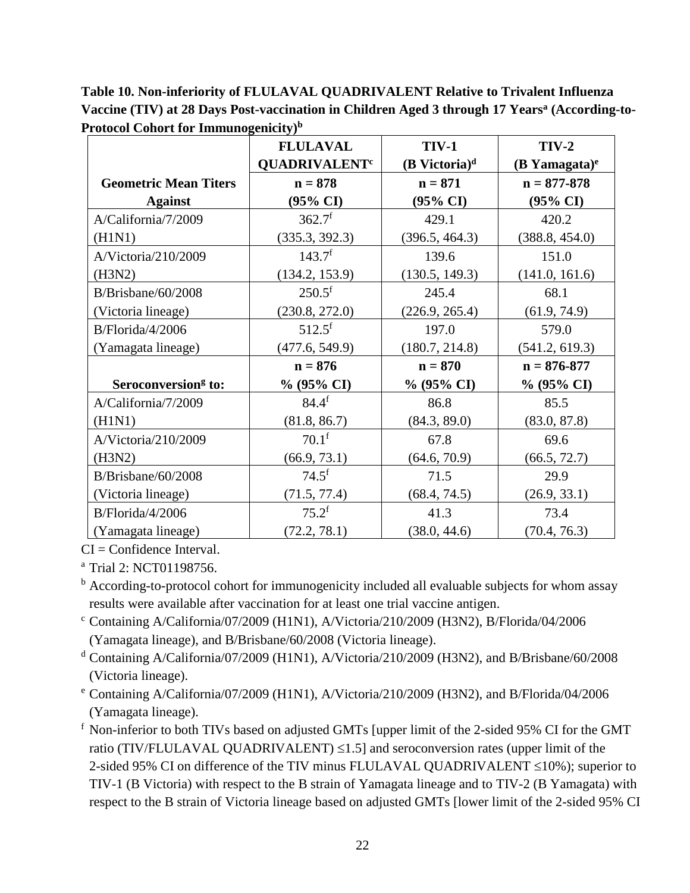**Table 10. Non-inferiority of FLULAVAL QUADRIVALENT Relative to Trivalent Influenza Vaccine (TIV) at 28 Days Post-vaccination in Children Aged 3 through 17 Years<sup>a</sup> (According-to-Protocol Cohort for Immunogenicity)<sup>b</sup>**

|                                 | <b>FLULAVAL</b>                 | <b>TIV-1</b>                | $TIV-2$            |
|---------------------------------|---------------------------------|-----------------------------|--------------------|
|                                 | <b>QUADRIVALENT<sup>c</sup></b> | $(B$ Victoria) <sup>d</sup> | $(B$ Yamagata) $e$ |
| <b>Geometric Mean Titers</b>    | $n = 878$                       | $n = 871$                   | $n = 877 - 878$    |
| <b>Against</b>                  | $(95\% \text{ CI})$             | $(95\% \text{ CI})$         | (95% CI)           |
| A/California/7/2009             | 362.7 <sup>f</sup>              | 429.1                       | 420.2              |
| (H1N1)                          | (335.3, 392.3)                  | (396.5, 464.3)              | (388.8, 454.0)     |
| A/Victoria/210/2009             | 143.7 <sup>f</sup>              | 139.6                       | 151.0              |
| (H3N2)                          | (134.2, 153.9)                  | (130.5, 149.3)              | (141.0, 161.6)     |
| $B/B$ risbane/60/2008           | $250.5^{\rm f}$                 | 245.4                       | 68.1               |
| (Victoria lineage)              | (230.8, 272.0)                  | (226.9, 265.4)              | (61.9, 74.9)       |
| B/Florida/4/2006                | $512.5^{\rm f}$                 | 197.0                       | 579.0              |
| (Yamagata lineage)              | (477.6, 549.9)                  | (180.7, 214.8)              | (541.2, 619.3)     |
|                                 | $n = 876$                       | $n = 870$                   | $n = 876 - 877$    |
| Seroconversion <sup>g</sup> to: | $% (95\% CI)$                   | % (95% CI)                  | % (95% CI)         |
| A/California/7/2009             | $84.4^{f}$                      | 86.8                        | 85.5               |
| (H1N1)                          | (81.8, 86.7)                    | (84.3, 89.0)                | (83.0, 87.8)       |
| A/Victoria/210/2009             | $70.1^{\rm f}$                  | 67.8                        | 69.6               |
| (H3N2)                          | (66.9, 73.1)                    | (64.6, 70.9)                | (66.5, 72.7)       |
| $B/B$ risbane/60/2008           | $74.5^{\rm f}$                  | 71.5                        | 29.9               |
| (Victoria lineage)              | (71.5, 77.4)                    | (68.4, 74.5)                | (26.9, 33.1)       |
| B/Florida/4/2006                | $75.2^{\rm f}$                  | 41.3                        | 73.4               |
| (Yamagata lineage)              | (72.2, 78.1)                    | (38.0, 44.6)                | (70.4, 76.3)       |

 $CI =$ Confidence Interval.

<sup>a</sup> Trial 2: NCT01198756.

<sup>b</sup> According-to-protocol cohort for immunogenicity included all evaluable subjects for whom assay results were available after vaccination for at least one trial vaccine antigen.

- <sup>c</sup> Containing A/California/07/2009 (H1N1), A/Victoria/210/2009 (H3N2), B/Florida/04/2006 (Yamagata lineage), and B/Brisbane/60/2008 (Victoria lineage).
- <sup>d</sup> Containing A/California/07/2009 (H1N1), A/Victoria/210/2009 (H3N2), and B/Brisbane/60/2008 (Victoria lineage).
- <sup>e</sup> Containing A/California/07/2009 (H1N1), A/Victoria/210/2009 (H3N2), and B/Florida/04/2006 (Yamagata lineage).

<sup>f</sup> Non-inferior to both TIVs based on adjusted GMTs [upper limit of the 2-sided 95% CI for the GMT ratio (TIV/FLULAVAL QUADRIVALENT)  $\leq$ 1.5] and seroconversion rates (upper limit of the 2-sided 95% CI on difference of the TIV minus FLULAVAL QUADRIVALENT  $\leq$ 10%); superior to TIV-1 (B Victoria) with respect to the B strain of Yamagata lineage and to TIV-2 (B Yamagata) with respect to the B strain of Victoria lineage based on adjusted GMTs [lower limit of the 2-sided 95% CI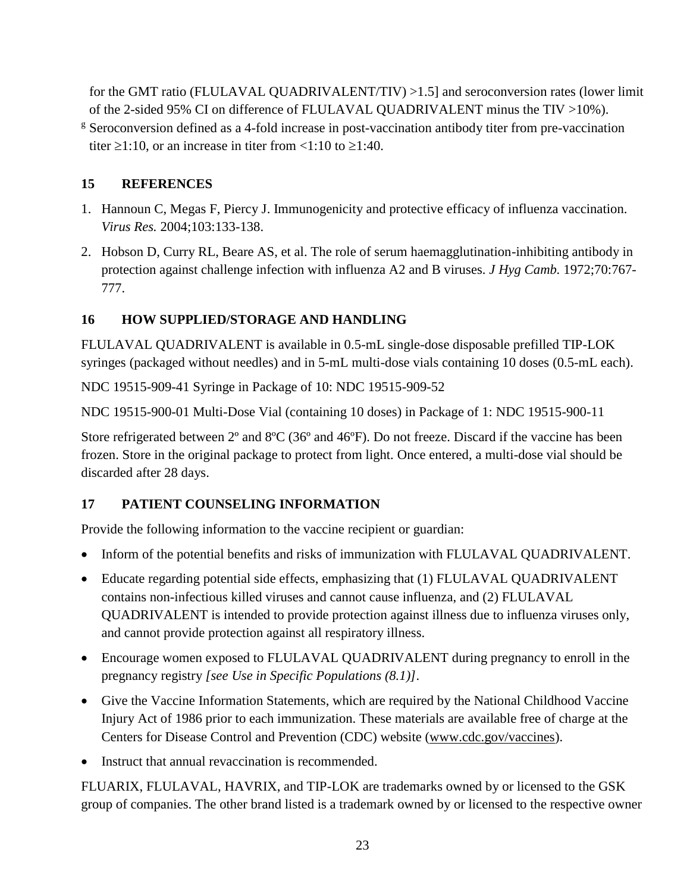for the GMT ratio (FLULAVAL QUADRIVALENT/TIV) >1.5] and seroconversion rates (lower limit of the 2-sided 95% CI on difference of FLULAVAL QUADRIVALENT minus the TIV >10%).

<sup>g</sup> Seroconversion defined as a 4-fold increase in post-vaccination antibody titer from pre-vaccination titer  $\geq 1:10$ , or an increase in titer from  $\leq 1:10$  to  $\geq 1:40$ .

#### <span id="page-22-0"></span>**15 REFERENCES**

- 1. Hannoun C, Megas F, Piercy J. Immunogenicity and protective efficacy of influenza vaccination. *Virus Res.* 2004;103:133-138.
- 2. Hobson D, Curry RL, Beare AS, et al. The role of serum haemagglutination-inhibiting antibody in protection against challenge infection with influenza A2 and B viruses. *J Hyg Camb.* 1972;70:767- 777.

## <span id="page-22-1"></span>**16 HOW SUPPLIED/STORAGE AND HANDLING**

FLULAVAL QUADRIVALENT is available in 0.5-mL single-dose disposable prefilled TIP-LOK syringes (packaged without needles) and in 5-mL multi-dose vials containing 10 doses (0.5-mL each).

NDC 19515-909-41 Syringe in Package of 10: NDC 19515-909-52

NDC 19515-900-01 Multi-Dose Vial (containing 10 doses) in Package of 1: NDC 19515-900-11

Store refrigerated between  $2^{\circ}$  and  $8^{\circ}C$  (36° and 46°F). Do not freeze. Discard if the vaccine has been frozen. Store in the original package to protect from light. Once entered, a multi-dose vial should be discarded after 28 days.

## <span id="page-22-2"></span>**17 PATIENT COUNSELING INFORMATION**

Provide the following information to the vaccine recipient or guardian:

- Inform of the potential benefits and risks of immunization with FLULAVAL QUADRIVALENT.
- Educate regarding potential side effects, emphasizing that (1) FLULAVAL QUADRIVALENT contains non-infectious killed viruses and cannot cause influenza, and (2) FLULAVAL QUADRIVALENT is intended to provide protection against illness due to influenza viruses only, and cannot provide protection against all respiratory illness.
- Encourage women exposed to FLULAVAL QUADRIVALENT during pregnancy to enroll in the pregnancy registry *[see Use in Specific Populations (8.1)]*.
- Give the Vaccine Information Statements, which are required by the National Childhood Vaccine Injury Act of 1986 prior to each immunization. These materials are available free of charge at the Centers for Disease Control and Prevention (CDC) website [\(www.cdc.gov/vaccines\)](http://www.cdc.gov/vaccines).
- Instruct that annual revaccination is recommended.

FLUARIX, FLULAVAL, HAVRIX, and TIP-LOK are trademarks owned by or licensed to the GSK group of companies. The other brand listed is a trademark owned by or licensed to the respective owner